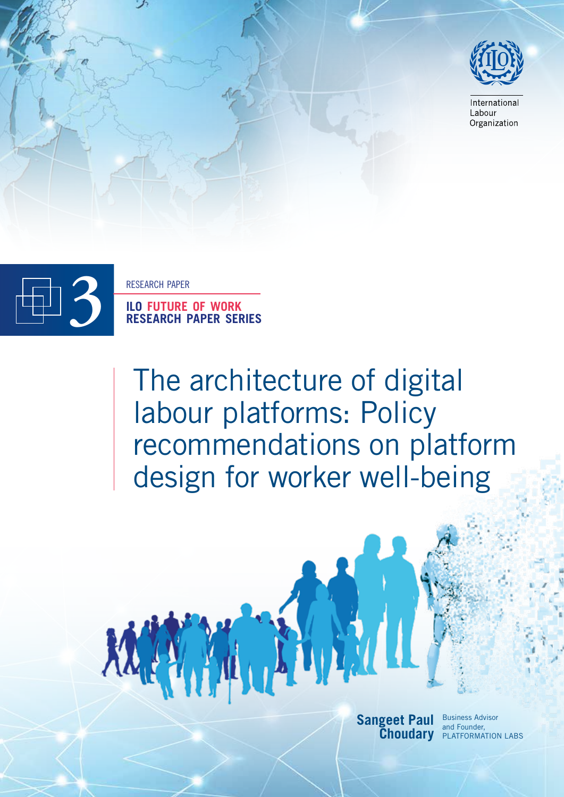

International Labour Organization



KA



The architecture of digital labour platforms: Policy recommendations on platform design for worker well-being

W



and Founder, **Choudary PLATFORMATION LABS**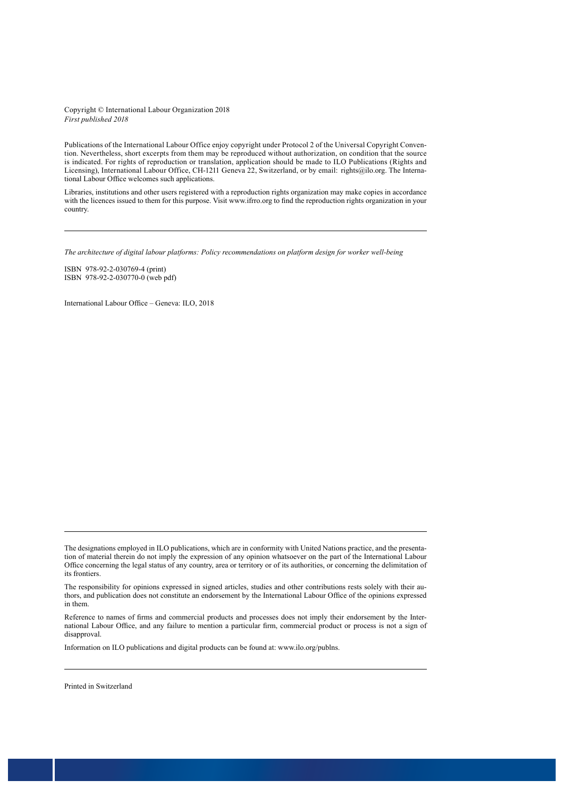#### Copyright © International Labour Organization 2018 *First published 2018*

Publications of the International Labour Office enjoy copyright under Protocol 2 of the Universal Copyright Convention. Nevertheless, short excerpts from them may be reproduced without authorization, on condition that the source is indicated. For rights of reproduction or translation, application should be made to ILO Publications (Rights and Licensing), International Labour Office, CH-1211 Geneva 22, Switzerland, or by email: rights@ilo.org. The International Labour Office welcomes such applications.

Libraries, institutions and other users registered with a reproduction rights organization may make copies in accordance with the licences issued to them for this purpose. Visit www.ifrro.org to find the reproduction rights organization in your country.

*The architecture of digital labour platforms: Policy recommendations on platform design for worker well-being* 

ISBN 978-92-2-030769-4 (print) ISBN 978-92-2-030770-0 (web pdf)

International Labour Office – Geneva: ILO, 2018

The designations employed in ILO publications, which are in conformity with United Nations practice, and the presentation of material therein do not imply the expression of any opinion whatsoever on the part of the International Labour Office concerning the legal status of any country, area or territory or of its authorities, or concerning the delimitation of its frontiers.

The responsibility for opinions expressed in signed articles, studies and other contributions rests solely with their authors, and publication does not constitute an endorsement by the International Labour Office of the opinions expressed in them.

Reference to names of firms and commercial products and processes does not imply their endorsement by the International Labour Office, and any failure to mention a particular firm, commercial product or process is not a sign of disapproval.

Information on ILO publications and digital products can be found at: www.ilo.org/publns.

Printed in Switzerland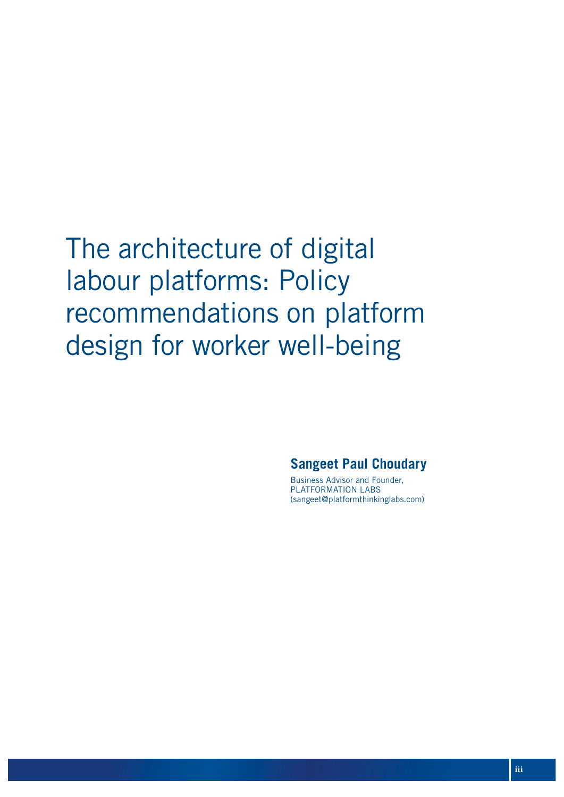The architecture of digital labour platforms: Policy recommendations on platform design for worker well-being

### **Sangeet Paul Choudary**

Business Advisor and Founder, PLATFORMATION LABS (sangeet@platformthinkinglabs.com)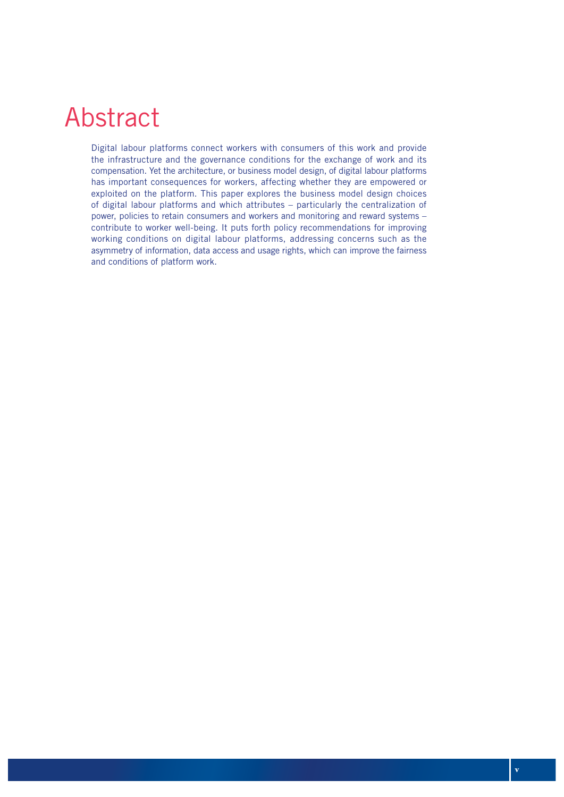# Abstract

Digital labour platforms connect workers with consumers of this work and provide the infrastructure and the governance conditions for the exchange of work and its compensation. Yet the architecture, or business model design, of digital labour platforms has important consequences for workers, affecting whether they are empowered or exploited on the platform. This paper explores the business model design choices of digital labour platforms and which attributes – particularly the centralization of power, policies to retain consumers and workers and monitoring and reward systems – contribute to worker well-being. It puts forth policy recommendations for improving working conditions on digital labour platforms, addressing concerns such as the asymmetry of information, data access and usage rights, which can improve the fairness and conditions of platform work.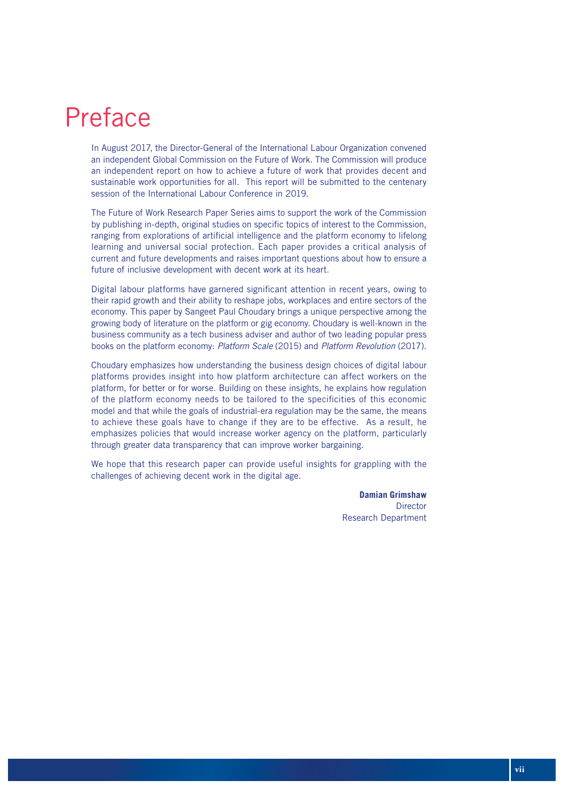# Preface

In August 2017, the Director-General of the International Labour Organization convened an independent Global Commission on the Future of Work. The Commission will produce an independent report on how to achieve a future of work that provides decent and sustainable work opportunities for all. This report will be submitted to the centenary session of the International Labour Conference in 2019.

The Future of Work Research Paper Series aims to support the work of the Commission by publishing in-depth, original studies on specific topics of interest to the Commission, ranging from explorations of artificial intelligence and the platform economy to lifelong learning and universal social protection. Each paper provides a critical analysis of current and future developments and raises important questions about how to ensure a future of inclusive development with decent work at its heart.

Digital labour platforms have garnered significant attention in recent years, owing to their rapid growth and their ability to reshape jobs, workplaces and entire sectors of the economy. This paper by Sangeet Paul Choudary brings a unique perspective among the growing body of literature on the platform or gig economy. Choudary is well-known in the business community as a tech business adviser and author of two leading popular press books on the platform economy: *Platform Scale* (2015) and *Platform Revolution* (2017).

Choudary emphasizes how understanding the business design choices of digital labour platforms provides insight into how platform architecture can affect workers on the platform, for better or for worse. Building on these insights, he explains how regulation of the platform economy needs to be tailored to the specificities of this economic model and that while the goals of industrial-era regulation may be the same, the means to achieve these goals have to change if they are to be effective. As a result, he emphasizes policies that would increase worker agency on the platform, particularly through greater data transparency that can improve worker bargaining.

We hope that this research paper can provide useful insights for grappling with the challenges of achieving decent work in the digital age.

> **Damian Grimshaw Director** Research Department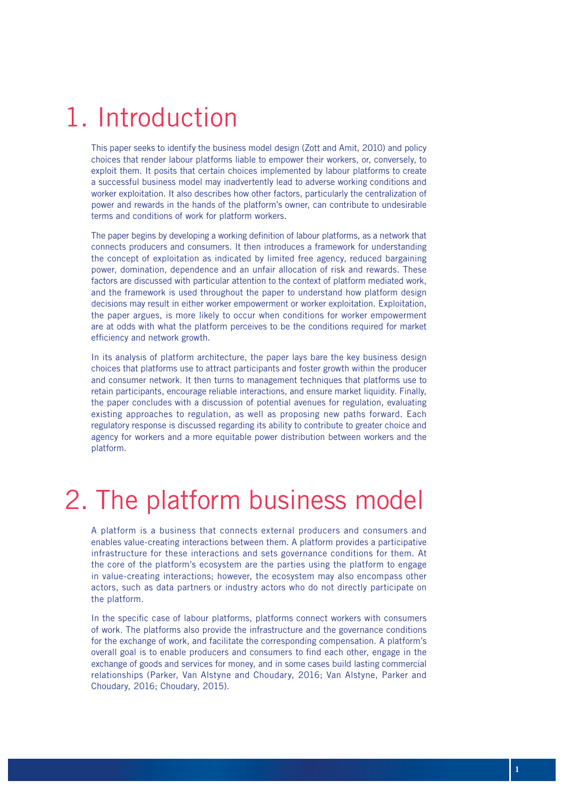# 1. Introduction

This paper seeks to identify the business model design (Zott and Amit, 2010) and policy choices that render labour platforms liable to empower their workers, or, conversely, to exploit them. It posits that certain choices implemented by labour platforms to create a successful business model may inadvertently lead to adverse working conditions and worker exploitation. It also describes how other factors, particularly the centralization of power and rewards in the hands of the platform's owner, can contribute to undesirable terms and conditions of work for platform workers.

The paper begins by developing a working definition of labour platforms, as a network that connects producers and consumers. It then introduces a framework for understanding the concept of exploitation as indicated by limited free agency, reduced bargaining power, domination, dependence and an unfair allocation of risk and rewards. These factors are discussed with particular attention to the context of platform mediated work, and the framework is used throughout the paper to understand how platform design decisions may result in either worker empowerment or worker exploitation. Exploitation, the paper argues, is more likely to occur when conditions for worker empowerment are at odds with what the platform perceives to be the conditions required for market efficiency and network growth.

In its analysis of platform architecture, the paper lays bare the key business design choices that platforms use to attract participants and foster growth within the producer and consumer network. It then turns to management techniques that platforms use to retain participants, encourage reliable interactions, and ensure market liquidity. Finally, the paper concludes with a discussion of potential avenues for regulation, evaluating existing approaches to regulation, as well as proposing new paths forward. Each regulatory response is discussed regarding its ability to contribute to greater choice and agency for workers and a more equitable power distribution between workers and the platform.

# 2. The platform business model

A platform is a business that connects external producers and consumers and enables value-creating interactions between them. A platform provides a participative infrastructure for these interactions and sets governance conditions for them. At the core of the platform's ecosystem are the parties using the platform to engage in value-creating interactions; however, the ecosystem may also encompass other actors, such as data partners or industry actors who do not directly participate on the platform.

In the specific case of labour platforms, platforms connect workers with consumers of work. The platforms also provide the infrastructure and the governance conditions for the exchange of work, and facilitate the corresponding compensation. A platform's overall goal is to enable producers and consumers to find each other, engage in the exchange of goods and services for money, and in some cases build lasting commercial relationships (Parker, Van Alstyne and Choudary, 2016; Van Alstyne, Parker and Choudary, 2016; Choudary, 2015).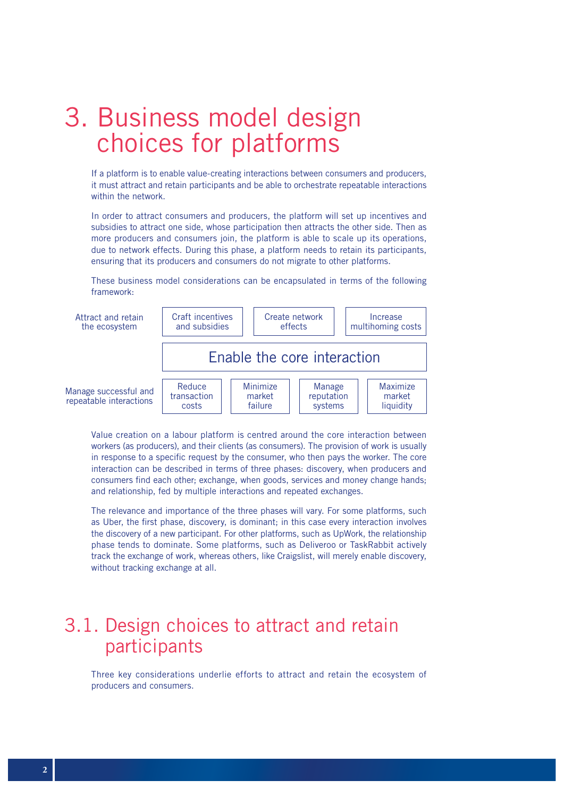# 3. Business model design choices for platforms

If a platform is to enable value-creating interactions between consumers and producers, it must attract and retain participants and be able to orchestrate repeatable interactions within the network.

In order to attract consumers and producers, the platform will set up incentives and subsidies to attract one side, whose participation then attracts the other side. Then as more producers and consumers join, the platform is able to scale up its operations, due to network effects. During this phase, a platform needs to retain its participants, ensuring that its producers and consumers do not migrate to other platforms.

These business model considerations can be encapsulated in terms of the following framework:



Value creation on a labour platform is centred around the core interaction between workers (as producers), and their clients (as consumers). The provision of work is usually in response to a specific request by the consumer, who then pays the worker. The core interaction can be described in terms of three phases: discovery, when producers and consumers find each other; exchange, when goods, services and money change hands; and relationship, fed by multiple interactions and repeated exchanges.

The relevance and importance of the three phases will vary. For some platforms, such as Uber, the first phase, discovery, is dominant; in this case every interaction involves the discovery of a new participant. For other platforms, such as UpWork, the relationship phase tends to dominate. Some platforms, such as Deliveroo or TaskRabbit actively track the exchange of work, whereas others, like Craigslist, will merely enable discovery, without tracking exchange at all.

## 3.1. Design choices to attract and retain participants

Three key considerations underlie efforts to attract and retain the ecosystem of producers and consumers.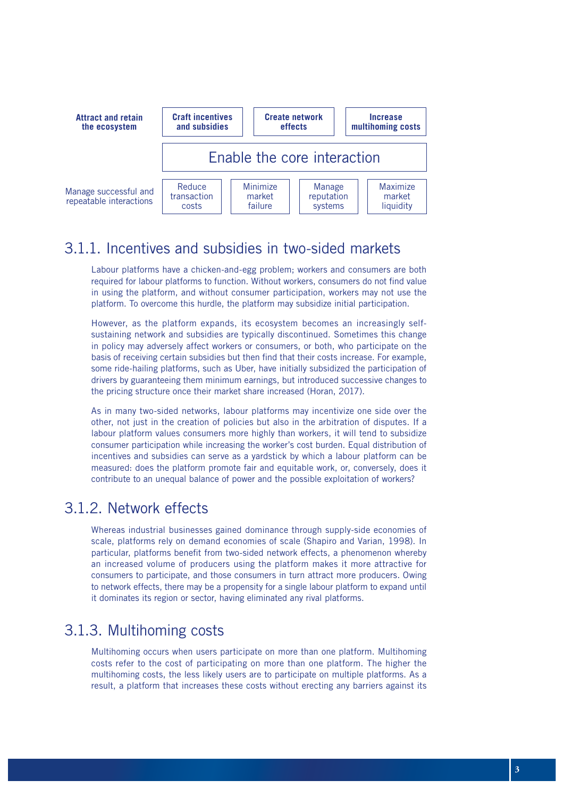

### 3.1.1. Incentives and subsidies in two-sided markets

Labour platforms have a chicken-and-egg problem; workers and consumers are both required for labour platforms to function. Without workers, consumers do not find value in using the platform, and without consumer participation, workers may not use the platform. To overcome this hurdle, the platform may subsidize initial participation.

However, as the platform expands, its ecosystem becomes an increasingly selfsustaining network and subsidies are typically discontinued. Sometimes this change in policy may adversely affect workers or consumers, or both, who participate on the basis of receiving certain subsidies but then find that their costs increase. For example, some ride-hailing platforms, such as Uber, have initially subsidized the participation of drivers by guaranteeing them minimum earnings, but introduced successive changes to the pricing structure once their market share increased (Horan, 2017).

As in many two-sided networks, labour platforms may incentivize one side over the other, not just in the creation of policies but also in the arbitration of disputes. If a labour platform values consumers more highly than workers, it will tend to subsidize consumer participation while increasing the worker's cost burden. Equal distribution of incentives and subsidies can serve as a yardstick by which a labour platform can be measured: does the platform promote fair and equitable work, or, conversely, does it contribute to an unequal balance of power and the possible exploitation of workers?

### 3.1.2. Network effects

Whereas industrial businesses gained dominance through supply-side economies of scale, platforms rely on demand economies of scale (Shapiro and Varian, 1998). In particular, platforms benefit from two-sided network effects, a phenomenon whereby an increased volume of producers using the platform makes it more attractive for consumers to participate, and those consumers in turn attract more producers. Owing to network effects, there may be a propensity for a single labour platform to expand until it dominates its region or sector, having eliminated any rival platforms.

### 3.1.3. Multihoming costs

Multihoming occurs when users participate on more than one platform. Multihoming costs refer to the cost of participating on more than one platform. The higher the multihoming costs, the less likely users are to participate on multiple platforms. As a result, a platform that increases these costs without erecting any barriers against its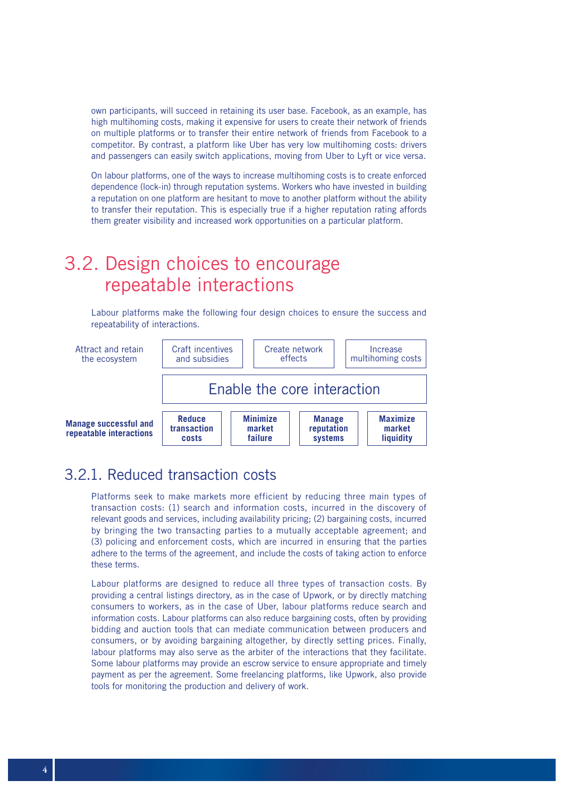own participants, will succeed in retaining its user base. Facebook, as an example, has high multihoming costs, making it expensive for users to create their network of friends on multiple platforms or to transfer their entire network of friends from Facebook to a competitor. By contrast, a platform like Uber has very low multihoming costs: drivers and passengers can easily switch applications, moving from Uber to Lyft or vice versa.

On labour platforms, one of the ways to increase multihoming costs is to create enforced dependence (lock-in) through reputation systems. Workers who have invested in building a reputation on one platform are hesitant to move to another platform without the ability to transfer their reputation. This is especially true if a higher reputation rating affords them greater visibility and increased work opportunities on a particular platform.

## 3.2. Design choices to encourage repeatable interactions

Labour platforms make the following four design choices to ensure the success and repeatability of interactions.



### 3.2.1. Reduced transaction costs

Platforms seek to make markets more efficient by reducing three main types of transaction costs: (1) search and information costs, incurred in the discovery of relevant goods and services, including availability pricing; (2) bargaining costs, incurred by bringing the two transacting parties to a mutually acceptable agreement; and (3) policing and enforcement costs, which are incurred in ensuring that the parties adhere to the terms of the agreement, and include the costs of taking action to enforce these terms.

Labour platforms are designed to reduce all three types of transaction costs. By providing a central listings directory, as in the case of Upwork, or by directly matching consumers to workers, as in the case of Uber, labour platforms reduce search and information costs. Labour platforms can also reduce bargaining costs, often by providing bidding and auction tools that can mediate communication between producers and consumers, or by avoiding bargaining altogether, by directly setting prices. Finally, labour platforms may also serve as the arbiter of the interactions that they facilitate. Some labour platforms may provide an escrow service to ensure appropriate and timely payment as per the agreement. Some freelancing platforms, like Upwork, also provide tools for monitoring the production and delivery of work.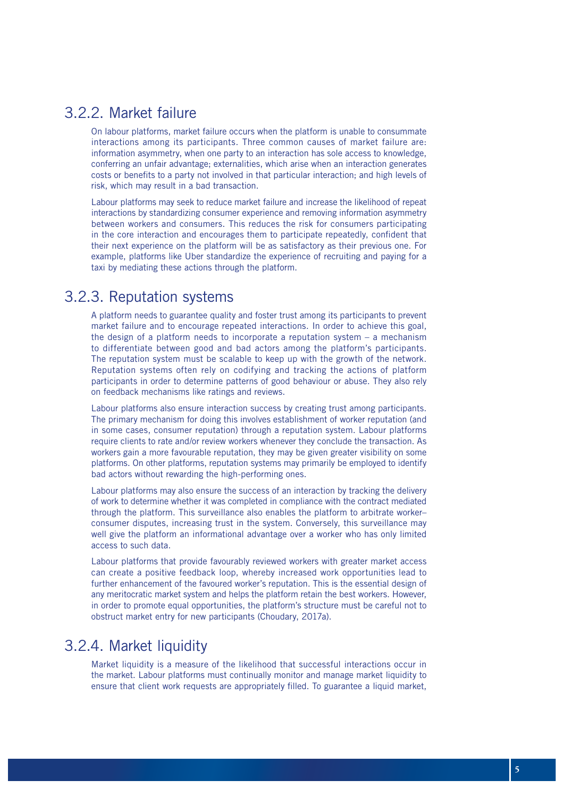### 3.2.2. Market failure

On labour platforms, market failure occurs when the platform is unable to consummate interactions among its participants. Three common causes of market failure are: information asymmetry, when one party to an interaction has sole access to knowledge, conferring an unfair advantage; externalities, which arise when an interaction generates costs or benefits to a party not involved in that particular interaction; and high levels of risk, which may result in a bad transaction.

Labour platforms may seek to reduce market failure and increase the likelihood of repeat interactions by standardizing consumer experience and removing information asymmetry between workers and consumers. This reduces the risk for consumers participating in the core interaction and encourages them to participate repeatedly, confident that their next experience on the platform will be as satisfactory as their previous one. For example, platforms like Uber standardize the experience of recruiting and paying for a taxi by mediating these actions through the platform.

### 3.2.3. Reputation systems

A platform needs to guarantee quality and foster trust among its participants to prevent market failure and to encourage repeated interactions. In order to achieve this goal, the design of a platform needs to incorporate a reputation system  $-$  a mechanism to differentiate between good and bad actors among the platform's participants. The reputation system must be scalable to keep up with the growth of the network. Reputation systems often rely on codifying and tracking the actions of platform participants in order to determine patterns of good behaviour or abuse. They also rely on feedback mechanisms like ratings and reviews.

Labour platforms also ensure interaction success by creating trust among participants. The primary mechanism for doing this involves establishment of worker reputation (and in some cases, consumer reputation) through a reputation system. Labour platforms require clients to rate and/or review workers whenever they conclude the transaction. As workers gain a more favourable reputation, they may be given greater visibility on some platforms. On other platforms, reputation systems may primarily be employed to identify bad actors without rewarding the high-performing ones.

Labour platforms may also ensure the success of an interaction by tracking the delivery of work to determine whether it was completed in compliance with the contract mediated through the platform. This surveillance also enables the platform to arbitrate worker– consumer disputes, increasing trust in the system. Conversely, this surveillance may well give the platform an informational advantage over a worker who has only limited access to such data.

Labour platforms that provide favourably reviewed workers with greater market access can create a positive feedback loop, whereby increased work opportunities lead to further enhancement of the favoured worker's reputation. This is the essential design of any meritocratic market system and helps the platform retain the best workers. However, in order to promote equal opportunities, the platform's structure must be careful not to obstruct market entry for new participants (Choudary, 2017a).

### 3.2.4. Market liquidity

Market liquidity is a measure of the likelihood that successful interactions occur in the market. Labour platforms must continually monitor and manage market liquidity to ensure that client work requests are appropriately filled. To guarantee a liquid market,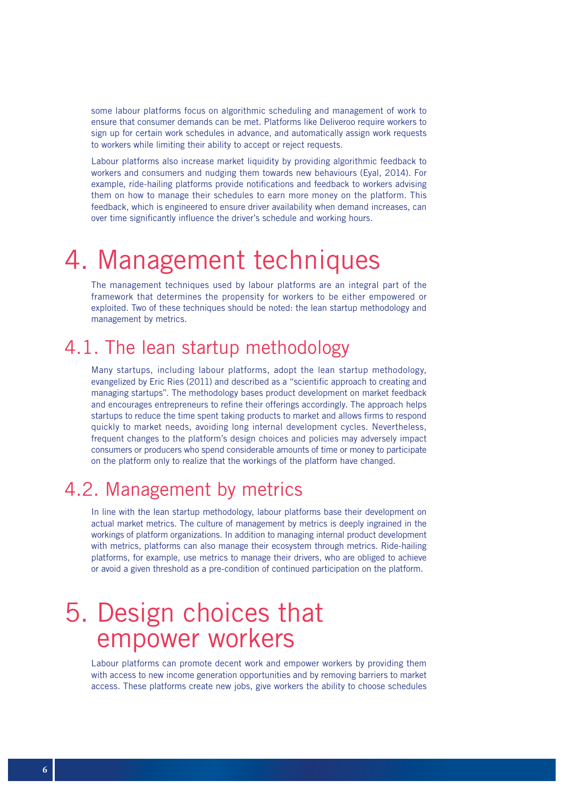some labour platforms focus on algorithmic scheduling and management of work to ensure that consumer demands can be met. Platforms like Deliveroo require workers to sign up for certain work schedules in advance, and automatically assign work requests to workers while limiting their ability to accept or reject requests.

Labour platforms also increase market liquidity by providing algorithmic feedback to workers and consumers and nudging them towards new behaviours (Eyal, 2014). For example, ride-hailing platforms provide notifications and feedback to workers advising them on how to manage their schedules to earn more money on the platform. This feedback, which is engineered to ensure driver availability when demand increases, can over time significantly influence the driver's schedule and working hours.

# 4. Management techniques

The management techniques used by labour platforms are an integral part of the framework that determines the propensity for workers to be either empowered or exploited. Two of these techniques should be noted: the lean startup methodology and management by metrics.

## 4.1. The lean startup methodology

Many startups, including labour platforms, adopt the lean startup methodology, evangelized by Eric Ries (2011) and described as a "scientific approach to creating and managing startups". The methodology bases product development on market feedback and encourages entrepreneurs to refine their offerings accordingly. The approach helps startups to reduce the time spent taking products to market and allows firms to respond quickly to market needs, avoiding long internal development cycles. Nevertheless, frequent changes to the platform's design choices and policies may adversely impact consumers or producers who spend considerable amounts of time or money to participate on the platform only to realize that the workings of the platform have changed.

## 4.2. Management by metrics

In line with the lean startup methodology, labour platforms base their development on actual market metrics. The culture of management by metrics is deeply ingrained in the workings of platform organizations. In addition to managing internal product development with metrics, platforms can also manage their ecosystem through metrics. Ride-hailing platforms, for example, use metrics to manage their drivers, who are obliged to achieve or avoid a given threshold as a pre-condition of continued participation on the platform.

## 5. Design choices that empower workers

Labour platforms can promote decent work and empower workers by providing them with access to new income generation opportunities and by removing barriers to market access. These platforms create new jobs, give workers the ability to choose schedules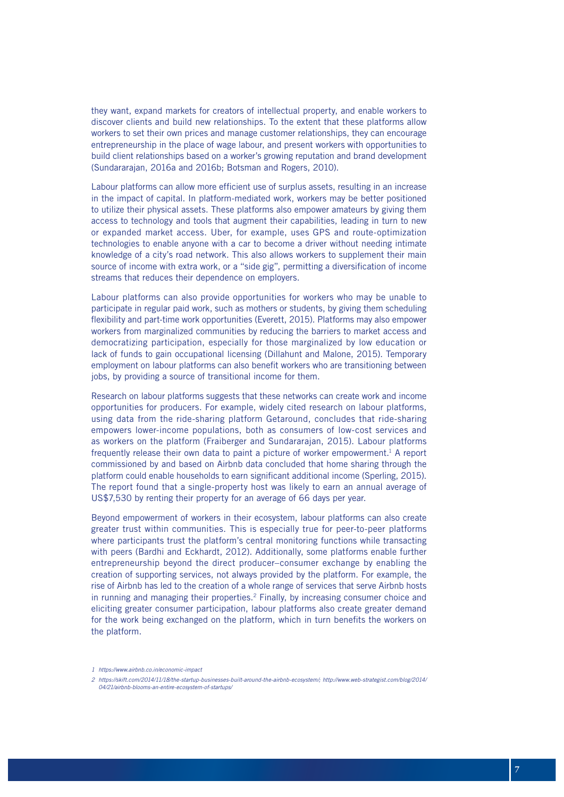they want, expand markets for creators of intellectual property, and enable workers to discover clients and build new relationships. To the extent that these platforms allow workers to set their own prices and manage customer relationships, they can encourage entrepreneurship in the place of wage labour, and present workers with opportunities to build client relationships based on a worker's growing reputation and brand development (Sundararajan, 2016a and 2016b; Botsman and Rogers, 2010).

Labour platforms can allow more efficient use of surplus assets, resulting in an increase in the impact of capital. In platform-mediated work, workers may be better positioned to utilize their physical assets. These platforms also empower amateurs by giving them access to technology and tools that augment their capabilities, leading in turn to new or expanded market access. Uber, for example, uses GPS and route-optimization technologies to enable anyone with a car to become a driver without needing intimate knowledge of a city's road network. This also allows workers to supplement their main source of income with extra work, or a "side gig", permitting a diversification of income streams that reduces their dependence on employers.

Labour platforms can also provide opportunities for workers who may be unable to participate in regular paid work, such as mothers or students, by giving them scheduling flexibility and part-time work opportunities (Everett, 2015). Platforms may also empower workers from marginalized communities by reducing the barriers to market access and democratizing participation, especially for those marginalized by low education or lack of funds to gain occupational licensing (Dillahunt and Malone, 2015). Temporary employment on labour platforms can also benefit workers who are transitioning between jobs, by providing a source of transitional income for them.

Research on labour platforms suggests that these networks can create work and income opportunities for producers. For example, widely cited research on labour platforms, using data from the ride-sharing platform Getaround, concludes that ride-sharing empowers lower-income populations, both as consumers of low-cost services and as workers on the platform (Fraiberger and Sundararajan, 2015). Labour platforms frequently release their own data to paint a picture of worker empowerment.1 A report commissioned by and based on Airbnb data concluded that home sharing through the platform could enable households to earn significant additional income (Sperling, 2015). The report found that a single-property host was likely to earn an annual average of US\$7,530 by renting their property for an average of 66 days per year.

Beyond empowerment of workers in their ecosystem, labour platforms can also create greater trust within communities. This is especially true for peer-to-peer platforms where participants trust the platform's central monitoring functions while transacting with peers (Bardhi and Eckhardt, 2012). Additionally, some platforms enable further entrepreneurship beyond the direct producer–consumer exchange by enabling the creation of supporting services, not always provided by the platform. For example, the rise of Airbnb has led to the creation of a whole range of services that serve Airbnb hosts in running and managing their properties.2 Finally, by increasing consumer choice and eliciting greater consumer participation, labour platforms also create greater demand for the work being exchanged on the platform, which in turn benefits the workers on the platform.

*<sup>1</sup> https://www.airbnb.co.in/economic-impact*

*<sup>2</sup> https://skift.com/2014/11/18/the-startup-businesses-built-around-the-airbnb-ecosystem/; http://www.web-strategist.com/blog/2014/ 04/21/airbnb-blooms-an-entire-ecosystem-of-startups/*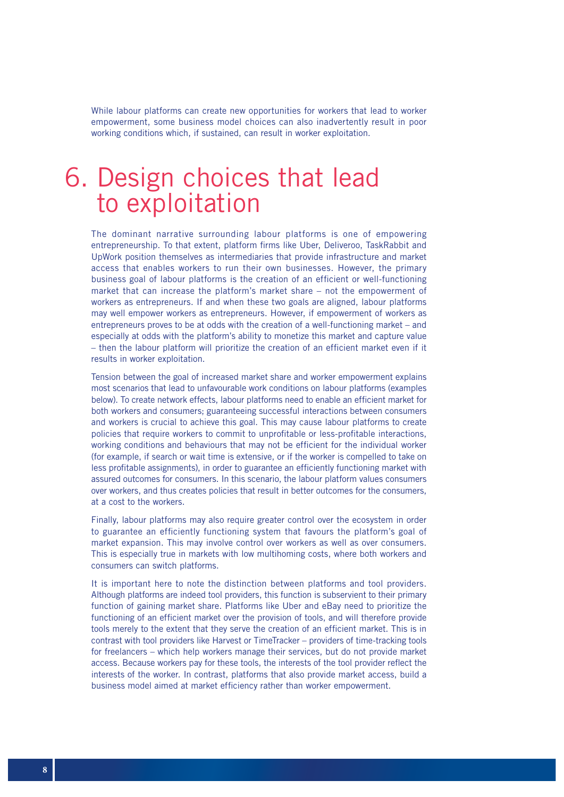While labour platforms can create new opportunities for workers that lead to worker empowerment, some business model choices can also inadvertently result in poor working conditions which, if sustained, can result in worker exploitation.

## 6. Design choices that lead to exploitation

The dominant narrative surrounding labour platforms is one of empowering entrepreneurship. To that extent, platform firms like Uber, Deliveroo, TaskRabbit and UpWork position themselves as intermediaries that provide infrastructure and market access that enables workers to run their own businesses. However, the primary business goal of labour platforms is the creation of an efficient or well-functioning market that can increase the platform's market share – not the empowerment of workers as entrepreneurs. If and when these two goals are aligned, labour platforms may well empower workers as entrepreneurs. However, if empowerment of workers as entrepreneurs proves to be at odds with the creation of a well-functioning market – and especially at odds with the platform's ability to monetize this market and capture value – then the labour platform will prioritize the creation of an efficient market even if it results in worker exploitation.

Tension between the goal of increased market share and worker empowerment explains most scenarios that lead to unfavourable work conditions on labour platforms (examples below). To create network effects, labour platforms need to enable an efficient market for both workers and consumers; guaranteeing successful interactions between consumers and workers is crucial to achieve this goal. This may cause labour platforms to create policies that require workers to commit to unprofitable or less-profitable interactions, working conditions and behaviours that may not be efficient for the individual worker (for example, if search or wait time is extensive, or if the worker is compelled to take on less profitable assignments), in order to guarantee an efficiently functioning market with assured outcomes for consumers. In this scenario, the labour platform values consumers over workers, and thus creates policies that result in better outcomes for the consumers, at a cost to the workers.

Finally, labour platforms may also require greater control over the ecosystem in order to guarantee an efficiently functioning system that favours the platform's goal of market expansion. This may involve control over workers as well as over consumers. This is especially true in markets with low multihoming costs, where both workers and consumers can switch platforms.

It is important here to note the distinction between platforms and tool providers. Although platforms are indeed tool providers, this function is subservient to their primary function of gaining market share. Platforms like Uber and eBay need to prioritize the functioning of an efficient market over the provision of tools, and will therefore provide tools merely to the extent that they serve the creation of an efficient market. This is in contrast with tool providers like Harvest or TimeTracker – providers of time-tracking tools for freelancers – which help workers manage their services, but do not provide market access. Because workers pay for these tools, the interests of the tool provider reflect the interests of the worker. In contrast, platforms that also provide market access, build a business model aimed at market efficiency rather than worker empowerment.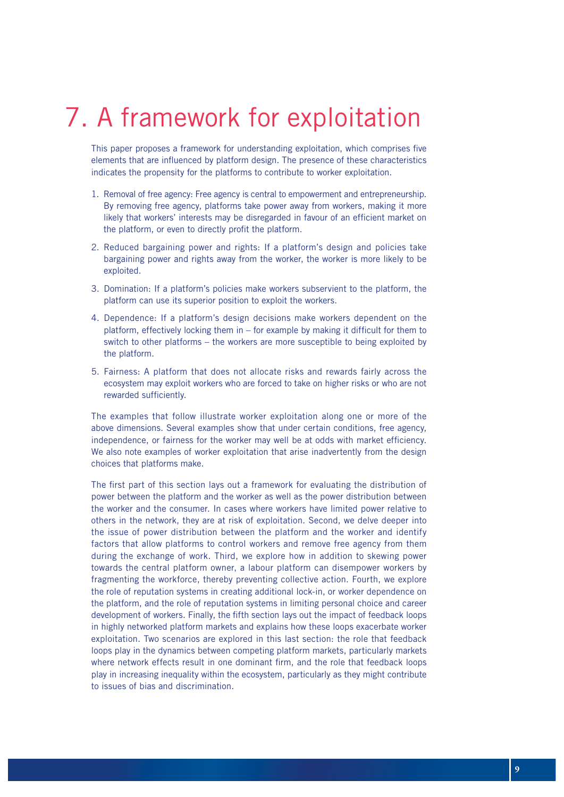# 7. A framework for exploitation

This paper proposes a framework for understanding exploitation, which comprises five elements that are influenced by platform design. The presence of these characteristics indicates the propensity for the platforms to contribute to worker exploitation.

- 1. Removal of free agency: Free agency is central to empowerment and entrepreneurship. By removing free agency, platforms take power away from workers, making it more likely that workers' interests may be disregarded in favour of an efficient market on the platform, or even to directly profit the platform.
- 2. Reduced bargaining power and rights: If a platform's design and policies take bargaining power and rights away from the worker, the worker is more likely to be exploited.
- 3. Domination: If a platform's policies make workers subservient to the platform, the platform can use its superior position to exploit the workers.
- 4. Dependence: If a platform's design decisions make workers dependent on the platform, effectively locking them in – for example by making it difficult for them to switch to other platforms – the workers are more susceptible to being exploited by the platform.
- 5. Fairness: A platform that does not allocate risks and rewards fairly across the ecosystem may exploit workers who are forced to take on higher risks or who are not rewarded sufficiently.

The examples that follow illustrate worker exploitation along one or more of the above dimensions. Several examples show that under certain conditions, free agency, independence, or fairness for the worker may well be at odds with market efficiency. We also note examples of worker exploitation that arise inadvertently from the design choices that platforms make.

The first part of this section lays out a framework for evaluating the distribution of power between the platform and the worker as well as the power distribution between the worker and the consumer. In cases where workers have limited power relative to others in the network, they are at risk of exploitation. Second, we delve deeper into the issue of power distribution between the platform and the worker and identify factors that allow platforms to control workers and remove free agency from them during the exchange of work. Third, we explore how in addition to skewing power towards the central platform owner, a labour platform can disempower workers by fragmenting the workforce, thereby preventing collective action. Fourth, we explore the role of reputation systems in creating additional lock-in, or worker dependence on the platform, and the role of reputation systems in limiting personal choice and career development of workers. Finally, the fifth section lays out the impact of feedback loops in highly networked platform markets and explains how these loops exacerbate worker exploitation. Two scenarios are explored in this last section: the role that feedback loops play in the dynamics between competing platform markets, particularly markets where network effects result in one dominant firm, and the role that feedback loops play in increasing inequality within the ecosystem, particularly as they might contribute to issues of bias and discrimination.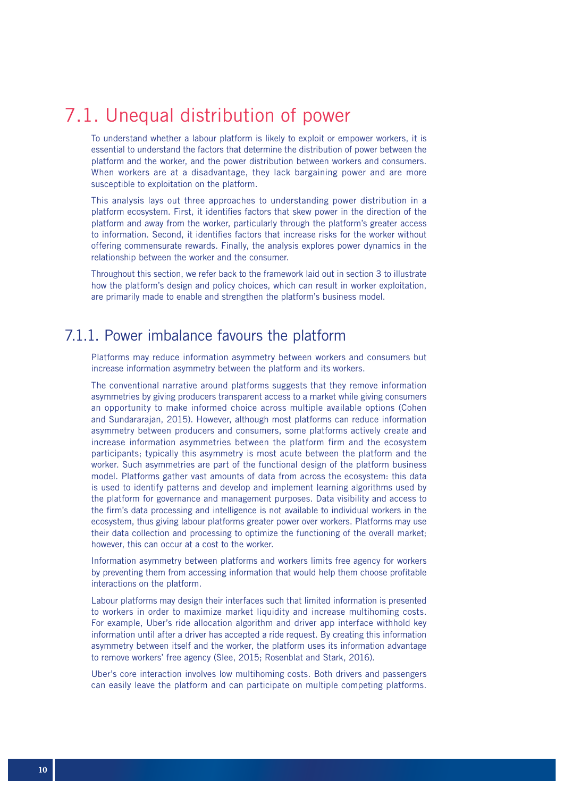## 7.1. Unequal distribution of power

To understand whether a labour platform is likely to exploit or empower workers, it is essential to understand the factors that determine the distribution of power between the platform and the worker, and the power distribution between workers and consumers. When workers are at a disadvantage, they lack bargaining power and are more susceptible to exploitation on the platform.

This analysis lays out three approaches to understanding power distribution in a platform ecosystem. First, it identifies factors that skew power in the direction of the platform and away from the worker, particularly through the platform's greater access to information. Second, it identifies factors that increase risks for the worker without offering commensurate rewards. Finally, the analysis explores power dynamics in the relationship between the worker and the consumer.

Throughout this section, we refer back to the framework laid out in section 3 to illustrate how the platform's design and policy choices, which can result in worker exploitation, are primarily made to enable and strengthen the platform's business model.

### 7.1.1. Power imbalance favours the platform

Platforms may reduce information asymmetry between workers and consumers but increase information asymmetry between the platform and its workers.

The conventional narrative around platforms suggests that they remove information asymmetries by giving producers transparent access to a market while giving consumers an opportunity to make informed choice across multiple available options (Cohen and Sundararajan, 2015). However, although most platforms can reduce information asymmetry between producers and consumers, some platforms actively create and increase information asymmetries between the platform firm and the ecosystem participants; typically this asymmetry is most acute between the platform and the worker. Such asymmetries are part of the functional design of the platform business model. Platforms gather vast amounts of data from across the ecosystem: this data is used to identify patterns and develop and implement learning algorithms used by the platform for governance and management purposes. Data visibility and access to the firm's data processing and intelligence is not available to individual workers in the ecosystem, thus giving labour platforms greater power over workers. Platforms may use their data collection and processing to optimize the functioning of the overall market; however, this can occur at a cost to the worker.

Information asymmetry between platforms and workers limits free agency for workers by preventing them from accessing information that would help them choose profitable interactions on the platform.

Labour platforms may design their interfaces such that limited information is presented to workers in order to maximize market liquidity and increase multihoming costs. For example, Uber's ride allocation algorithm and driver app interface withhold key information until after a driver has accepted a ride request. By creating this information asymmetry between itself and the worker, the platform uses its information advantage to remove workers' free agency (Slee, 2015; Rosenblat and Stark, 2016).

Uber's core interaction involves low multihoming costs. Both drivers and passengers can easily leave the platform and can participate on multiple competing platforms.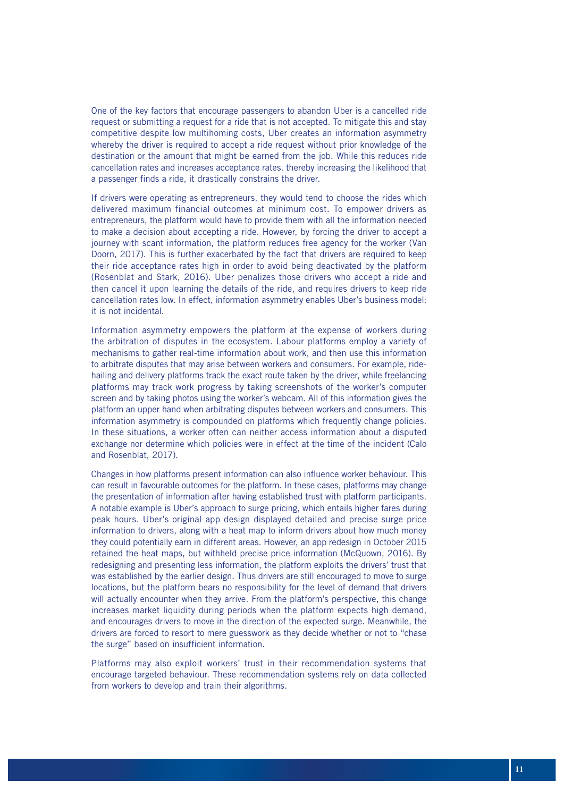One of the key factors that encourage passengers to abandon Uber is a cancelled ride request or submitting a request for a ride that is not accepted. To mitigate this and stay competitive despite low multihoming costs, Uber creates an information asymmetry whereby the driver is required to accept a ride request without prior knowledge of the destination or the amount that might be earned from the job. While this reduces ride cancellation rates and increases acceptance rates, thereby increasing the likelihood that a passenger finds a ride, it drastically constrains the driver.

If drivers were operating as entrepreneurs, they would tend to choose the rides which delivered maximum financial outcomes at minimum cost. To empower drivers as entrepreneurs, the platform would have to provide them with all the information needed to make a decision about accepting a ride. However, by forcing the driver to accept a journey with scant information, the platform reduces free agency for the worker (Van Doorn, 2017). This is further exacerbated by the fact that drivers are required to keep their ride acceptance rates high in order to avoid being deactivated by the platform (Rosenblat and Stark, 2016). Uber penalizes those drivers who accept a ride and then cancel it upon learning the details of the ride, and requires drivers to keep ride cancellation rates low. In effect, information asymmetry enables Uber's business model; it is not incidental.

Information asymmetry empowers the platform at the expense of workers during the arbitration of disputes in the ecosystem. Labour platforms employ a variety of mechanisms to gather real-time information about work, and then use this information to arbitrate disputes that may arise between workers and consumers. For example, ridehailing and delivery platforms track the exact route taken by the driver, while freelancing platforms may track work progress by taking screenshots of the worker's computer screen and by taking photos using the worker's webcam. All of this information gives the platform an upper hand when arbitrating disputes between workers and consumers. This information asymmetry is compounded on platforms which frequently change policies. In these situations, a worker often can neither access information about a disputed exchange nor determine which policies were in effect at the time of the incident (Calo and Rosenblat, 2017).

Changes in how platforms present information can also influence worker behaviour. This can result in favourable outcomes for the platform. In these cases, platforms may change the presentation of information after having established trust with platform participants. A notable example is Uber's approach to surge pricing, which entails higher fares during peak hours. Uber's original app design displayed detailed and precise surge price information to drivers, along with a heat map to inform drivers about how much money they could potentially earn in different areas. However, an app redesign in October 2015 retained the heat maps, but withheld precise price information (McQuown, 2016). By redesigning and presenting less information, the platform exploits the drivers' trust that was established by the earlier design. Thus drivers are still encouraged to move to surge locations, but the platform bears no responsibility for the level of demand that drivers will actually encounter when they arrive. From the platform's perspective, this change increases market liquidity during periods when the platform expects high demand, and encourages drivers to move in the direction of the expected surge. Meanwhile, the drivers are forced to resort to mere guesswork as they decide whether or not to "chase the surge" based on insufficient information.

Platforms may also exploit workers' trust in their recommendation systems that encourage targeted behaviour. These recommendation systems rely on data collected from workers to develop and train their algorithms.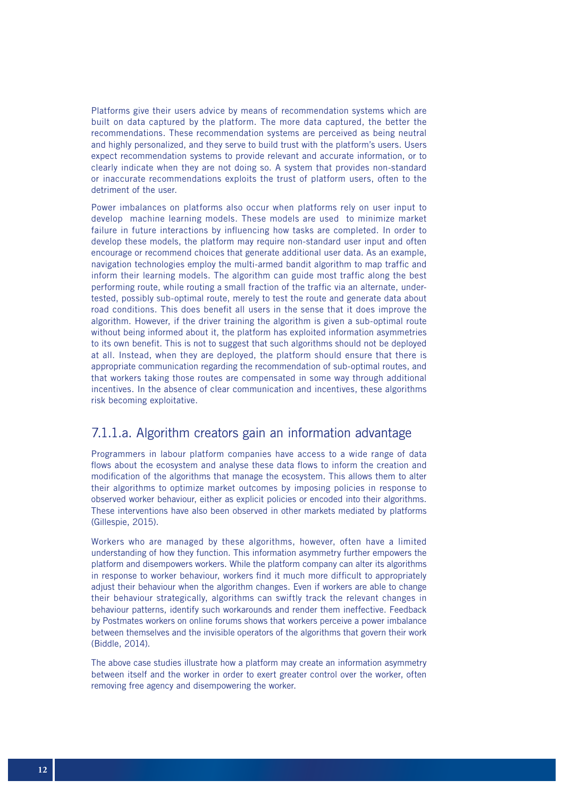Platforms give their users advice by means of recommendation systems which are built on data captured by the platform. The more data captured, the better the recommendations. These recommendation systems are perceived as being neutral and highly personalized, and they serve to build trust with the platform's users. Users expect recommendation systems to provide relevant and accurate information, or to clearly indicate when they are not doing so. A system that provides non-standard or inaccurate recommendations exploits the trust of platform users, often to the detriment of the user.

Power imbalances on platforms also occur when platforms rely on user input to develop machine learning models. These models are used to minimize market failure in future interactions by influencing how tasks are completed. In order to develop these models, the platform may require non-standard user input and often encourage or recommend choices that generate additional user data. As an example, navigation technologies employ the multi-armed bandit algorithm to map traffic and inform their learning models. The algorithm can guide most traffic along the best performing route, while routing a small fraction of the traffic via an alternate, undertested, possibly sub-optimal route, merely to test the route and generate data about road conditions. This does benefit all users in the sense that it does improve the algorithm. However, if the driver training the algorithm is given a sub-optimal route without being informed about it, the platform has exploited information asymmetries to its own benefit. This is not to suggest that such algorithms should not be deployed at all. Instead, when they are deployed, the platform should ensure that there is appropriate communication regarding the recommendation of sub-optimal routes, and that workers taking those routes are compensated in some way through additional incentives. In the absence of clear communication and incentives, these algorithms risk becoming exploitative.

#### 7.1.1.a. Algorithm creators gain an information advantage

Programmers in labour platform companies have access to a wide range of data flows about the ecosystem and analyse these data flows to inform the creation and modification of the algorithms that manage the ecosystem. This allows them to alter their algorithms to optimize market outcomes by imposing policies in response to observed worker behaviour, either as explicit policies or encoded into their algorithms. These interventions have also been observed in other markets mediated by platforms (Gillespie, 2015).

Workers who are managed by these algorithms, however, often have a limited understanding of how they function. This information asymmetry further empowers the platform and disempowers workers. While the platform company can alter its algorithms in response to worker behaviour, workers find it much more difficult to appropriately adjust their behaviour when the algorithm changes. Even if workers are able to change their behaviour strategically, algorithms can swiftly track the relevant changes in behaviour patterns, identify such workarounds and render them ineffective. Feedback by Postmates workers on online forums shows that workers perceive a power imbalance between themselves and the invisible operators of the algorithms that govern their work (Biddle, 2014).

The above case studies illustrate how a platform may create an information asymmetry between itself and the worker in order to exert greater control over the worker, often removing free agency and disempowering the worker.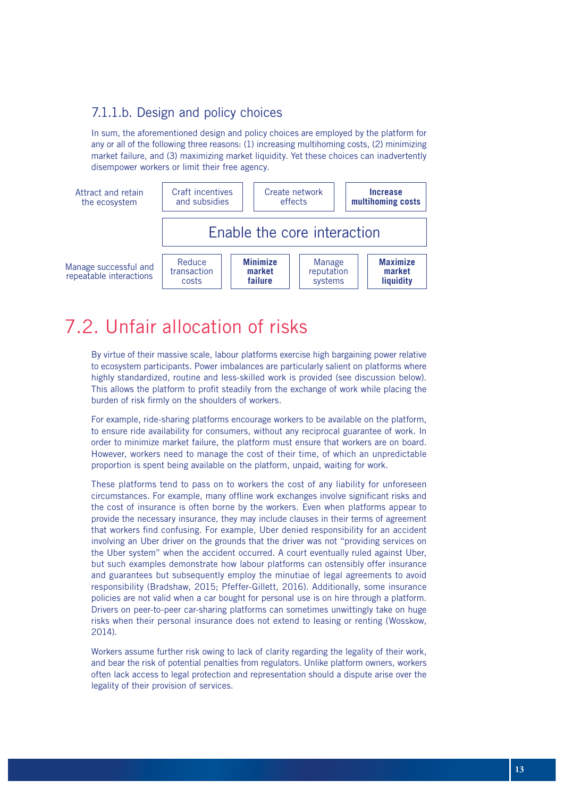### 7.1.1.b. Design and policy choices

In sum, the aforementioned design and policy choices are employed by the platform for any or all of the following three reasons: (1) increasing multihoming costs, (2) minimizing market failure, and (3) maximizing market liquidity. Yet these choices can inadvertently disempower workers or limit their free agency.



## 7.2. Unfair allocation of risks

By virtue of their massive scale, labour platforms exercise high bargaining power relative to ecosystem participants. Power imbalances are particularly salient on platforms where highly standardized, routine and less-skilled work is provided (see discussion below). This allows the platform to profit steadily from the exchange of work while placing the burden of risk firmly on the shoulders of workers.

For example, ride-sharing platforms encourage workers to be available on the platform, to ensure ride availability for consumers, without any reciprocal guarantee of work. In order to minimize market failure, the platform must ensure that workers are on board. However, workers need to manage the cost of their time, of which an unpredictable proportion is spent being available on the platform, unpaid, waiting for work.

These platforms tend to pass on to workers the cost of any liability for unforeseen circumstances. For example, many offline work exchanges involve significant risks and the cost of insurance is often borne by the workers. Even when platforms appear to provide the necessary insurance, they may include clauses in their terms of agreement that workers find confusing. For example, Uber denied responsibility for an accident involving an Uber driver on the grounds that the driver was not "providing services on the Uber system" when the accident occurred. A court eventually ruled against Uber, but such examples demonstrate how labour platforms can ostensibly offer insurance and guarantees but subsequently employ the minutiae of legal agreements to avoid responsibility (Bradshaw, 2015; Pfeffer-Gillett, 2016). Additionally, some insurance policies are not valid when a car bought for personal use is on hire through a platform. Drivers on peer-to-peer car-sharing platforms can sometimes unwittingly take on huge risks when their personal insurance does not extend to leasing or renting (Wosskow, 2014).

Workers assume further risk owing to lack of clarity regarding the legality of their work, and bear the risk of potential penalties from regulators. Unlike platform owners, workers often lack access to legal protection and representation should a dispute arise over the legality of their provision of services.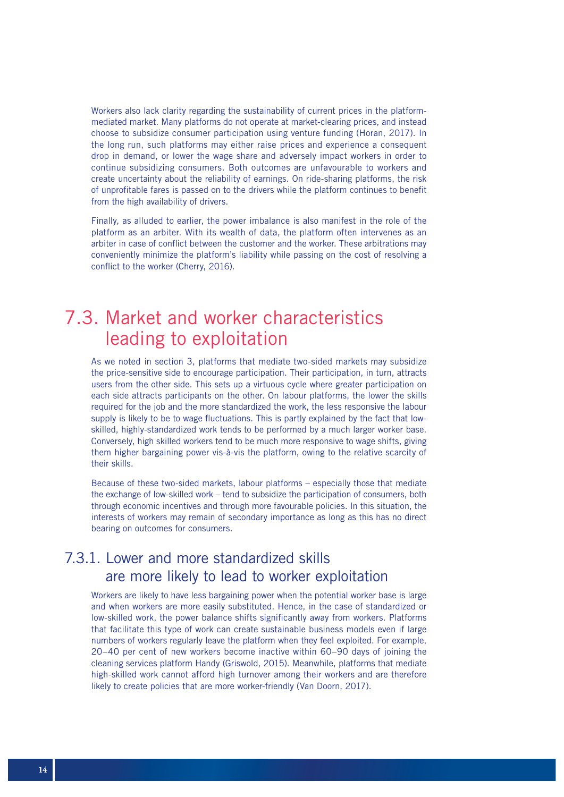Workers also lack clarity regarding the sustainability of current prices in the platformmediated market. Many platforms do not operate at market-clearing prices, and instead choose to subsidize consumer participation using venture funding (Horan, 2017). In the long run, such platforms may either raise prices and experience a consequent drop in demand, or lower the wage share and adversely impact workers in order to continue subsidizing consumers. Both outcomes are unfavourable to workers and create uncertainty about the reliability of earnings. On ride-sharing platforms, the risk of unprofitable fares is passed on to the drivers while the platform continues to benefit from the high availability of drivers.

Finally, as alluded to earlier, the power imbalance is also manifest in the role of the platform as an arbiter. With its wealth of data, the platform often intervenes as an arbiter in case of conflict between the customer and the worker. These arbitrations may conveniently minimize the platform's liability while passing on the cost of resolving a conflict to the worker (Cherry, 2016).

## 7.3. Market and worker characteristics leading to exploitation

As we noted in section 3, platforms that mediate two-sided markets may subsidize the price-sensitive side to encourage participation. Their participation, in turn, attracts users from the other side. This sets up a virtuous cycle where greater participation on each side attracts participants on the other. On labour platforms, the lower the skills required for the job and the more standardized the work, the less responsive the labour supply is likely to be to wage fluctuations. This is partly explained by the fact that lowskilled, highly-standardized work tends to be performed by a much larger worker base. Conversely, high skilled workers tend to be much more responsive to wage shifts, giving them higher bargaining power vis-à-vis the platform, owing to the relative scarcity of their skills.

Because of these two-sided markets, labour platforms – especially those that mediate the exchange of low-skilled work – tend to subsidize the participation of consumers, both through economic incentives and through more favourable policies. In this situation, the interests of workers may remain of secondary importance as long as this has no direct bearing on outcomes for consumers.

### 7.3.1. Lower and more standardized skills are more likely to lead to worker exploitation

Workers are likely to have less bargaining power when the potential worker base is large and when workers are more easily substituted. Hence, in the case of standardized or low-skilled work, the power balance shifts significantly away from workers. Platforms that facilitate this type of work can create sustainable business models even if large numbers of workers regularly leave the platform when they feel exploited. For example, 20–40 per cent of new workers become inactive within 60–90 days of joining the cleaning services platform Handy (Griswold, 2015). Meanwhile, platforms that mediate high-skilled work cannot afford high turnover among their workers and are therefore likely to create policies that are more worker-friendly (Van Doorn, 2017).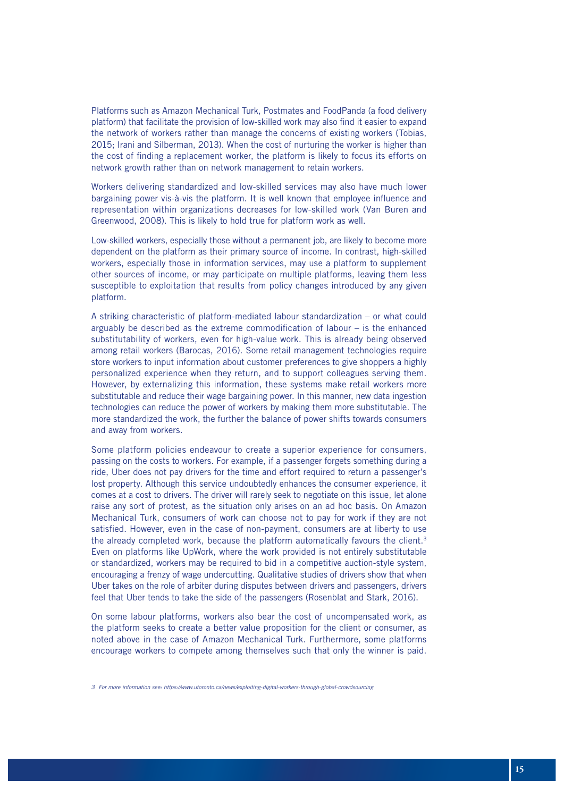Platforms such as Amazon Mechanical Turk, Postmates and FoodPanda (a food delivery platform) that facilitate the provision of low-skilled work may also find it easier to expand the network of workers rather than manage the concerns of existing workers (Tobias, 2015; Irani and Silberman, 2013). When the cost of nurturing the worker is higher than the cost of finding a replacement worker, the platform is likely to focus its efforts on network growth rather than on network management to retain workers.

Workers delivering standardized and low-skilled services may also have much lower bargaining power vis-à-vis the platform. It is well known that employee influence and representation within organizations decreases for low-skilled work (Van Buren and Greenwood, 2008). This is likely to hold true for platform work as well.

Low-skilled workers, especially those without a permanent job, are likely to become more dependent on the platform as their primary source of income. In contrast, high-skilled workers, especially those in information services, may use a platform to supplement other sources of income, or may participate on multiple platforms, leaving them less susceptible to exploitation that results from policy changes introduced by any given platform.

A striking characteristic of platform-mediated labour standardization – or what could arguably be described as the extreme commodification of labour – is the enhanced substitutability of workers, even for high-value work. This is already being observed among retail workers (Barocas, 2016). Some retail management technologies require store workers to input information about customer preferences to give shoppers a highly personalized experience when they return, and to support colleagues serving them. However, by externalizing this information, these systems make retail workers more substitutable and reduce their wage bargaining power. In this manner, new data ingestion technologies can reduce the power of workers by making them more substitutable. The more standardized the work, the further the balance of power shifts towards consumers and away from workers.

Some platform policies endeavour to create a superior experience for consumers, passing on the costs to workers. For example, if a passenger forgets something during a ride, Uber does not pay drivers for the time and effort required to return a passenger's lost property. Although this service undoubtedly enhances the consumer experience, it comes at a cost to drivers. The driver will rarely seek to negotiate on this issue, let alone raise any sort of protest, as the situation only arises on an ad hoc basis. On Amazon Mechanical Turk, consumers of work can choose not to pay for work if they are not satisfied. However, even in the case of non-payment, consumers are at liberty to use the already completed work, because the platform automatically favours the client.<sup>3</sup> Even on platforms like UpWork, where the work provided is not entirely substitutable or standardized, workers may be required to bid in a competitive auction-style system, encouraging a frenzy of wage undercutting. Qualitative studies of drivers show that when Uber takes on the role of arbiter during disputes between drivers and passengers, drivers feel that Uber tends to take the side of the passengers (Rosenblat and Stark, 2016).

On some labour platforms, workers also bear the cost of uncompensated work, as the platform seeks to create a better value proposition for the client or consumer, as noted above in the case of Amazon Mechanical Turk. Furthermore, some platforms encourage workers to compete among themselves such that only the winner is paid.

*<sup>3</sup> For more information see: https://www.utoronto.ca/news/exploiting-digital-workers-through-global-crowdsourcing*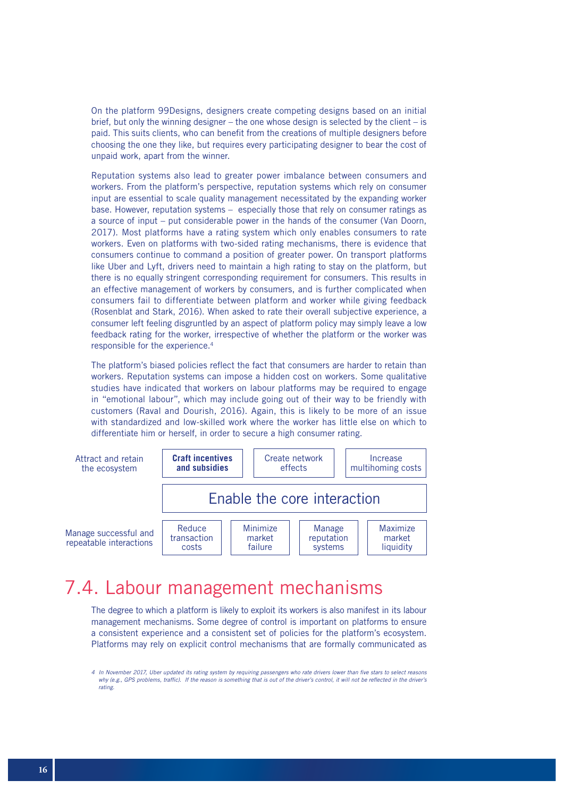On the platform 99Designs, designers create competing designs based on an initial brief, but only the winning designer – the one whose design is selected by the client – is paid. This suits clients, who can benefit from the creations of multiple designers before choosing the one they like, but requires every participating designer to bear the cost of unpaid work, apart from the winner.

Reputation systems also lead to greater power imbalance between consumers and workers. From the platform's perspective, reputation systems which rely on consumer input are essential to scale quality management necessitated by the expanding worker base. However, reputation systems – especially those that rely on consumer ratings as a source of input – put considerable power in the hands of the consumer (Van Doorn, 2017). Most platforms have a rating system which only enables consumers to rate workers. Even on platforms with two-sided rating mechanisms, there is evidence that consumers continue to command a position of greater power. On transport platforms like Uber and Lyft, drivers need to maintain a high rating to stay on the platform, but there is no equally stringent corresponding requirement for consumers. This results in an effective management of workers by consumers, and is further complicated when consumers fail to differentiate between platform and worker while giving feedback (Rosenblat and Stark, 2016). When asked to rate their overall subjective experience, a consumer left feeling disgruntled by an aspect of platform policy may simply leave a low feedback rating for the worker, irrespective of whether the platform or the worker was responsible for the experience.4

The platform's biased policies reflect the fact that consumers are harder to retain than workers. Reputation systems can impose a hidden cost on workers. Some qualitative studies have indicated that workers on labour platforms may be required to engage in "emotional labour", which may include going out of their way to be friendly with customers (Raval and Dourish, 2016). Again, this is likely to be more of an issue with standardized and low-skilled work where the worker has little else on which to differentiate him or herself, in order to secure a high consumer rating.



## 7.4. Labour management mechanisms

The degree to which a platform is likely to exploit its workers is also manifest in its labour management mechanisms. Some degree of control is important on platforms to ensure a consistent experience and a consistent set of policies for the platform's ecosystem. Platforms may rely on explicit control mechanisms that are formally communicated as

*<sup>4</sup> In November 2017, Uber updated its rating system by requiring passengers who rate drivers lower than five stars to select reasons*  why (e.g., GPS problems, traffic). If the reason is something that is out of the driver's control, it will not be reflected in the driver's *rating.*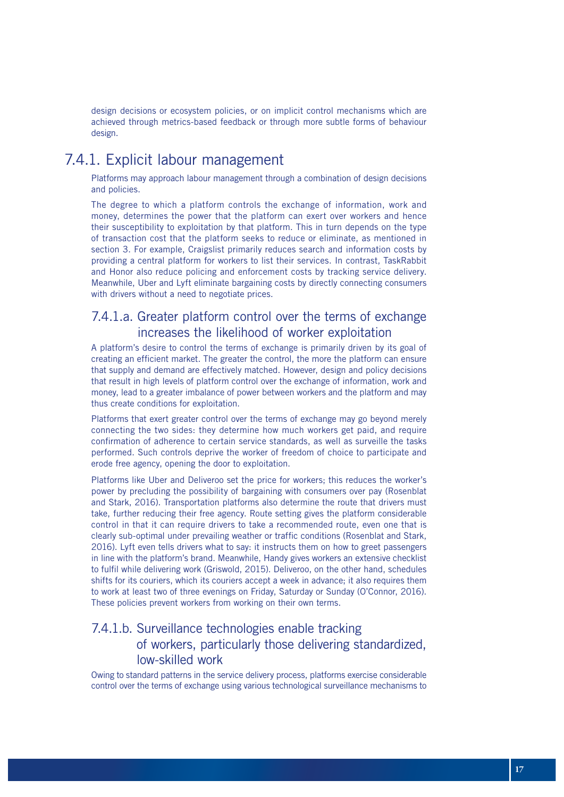design decisions or ecosystem policies, or on implicit control mechanisms which are achieved through metrics-based feedback or through more subtle forms of behaviour design.

### 7.4.1. Explicit labour management

Platforms may approach labour management through a combination of design decisions and policies.

The degree to which a platform controls the exchange of information, work and money, determines the power that the platform can exert over workers and hence their susceptibility to exploitation by that platform. This in turn depends on the type of transaction cost that the platform seeks to reduce or eliminate, as mentioned in section 3. For example, Craigslist primarily reduces search and information costs by providing a central platform for workers to list their services. In contrast, TaskRabbit and Honor also reduce policing and enforcement costs by tracking service delivery. Meanwhile, Uber and Lyft eliminate bargaining costs by directly connecting consumers with drivers without a need to negotiate prices.

#### 7.4.1.a. Greater platform control over the terms of exchange increases the likelihood of worker exploitation

A platform's desire to control the terms of exchange is primarily driven by its goal of creating an efficient market. The greater the control, the more the platform can ensure that supply and demand are effectively matched. However, design and policy decisions that result in high levels of platform control over the exchange of information, work and money, lead to a greater imbalance of power between workers and the platform and may thus create conditions for exploitation.

Platforms that exert greater control over the terms of exchange may go beyond merely connecting the two sides: they determine how much workers get paid, and require confirmation of adherence to certain service standards, as well as surveille the tasks performed. Such controls deprive the worker of freedom of choice to participate and erode free agency, opening the door to exploitation.

Platforms like Uber and Deliveroo set the price for workers; this reduces the worker's power by precluding the possibility of bargaining with consumers over pay (Rosenblat and Stark, 2016). Transportation platforms also determine the route that drivers must take, further reducing their free agency. Route setting gives the platform considerable control in that it can require drivers to take a recommended route, even one that is clearly sub-optimal under prevailing weather or traffic conditions (Rosenblat and Stark, 2016). Lyft even tells drivers what to say: it instructs them on how to greet passengers in line with the platform's brand. Meanwhile, Handy gives workers an extensive checklist to fulfil while delivering work (Griswold, 2015). Deliveroo, on the other hand, schedules shifts for its couriers, which its couriers accept a week in advance; it also requires them to work at least two of three evenings on Friday, Saturday or Sunday (O'Connor, 2016). These policies prevent workers from working on their own terms.

### 7.4.1.b. Surveillance technologies enable tracking of workers, particularly those delivering standardized, low-skilled work

Owing to standard patterns in the service delivery process, platforms exercise considerable control over the terms of exchange using various technological surveillance mechanisms to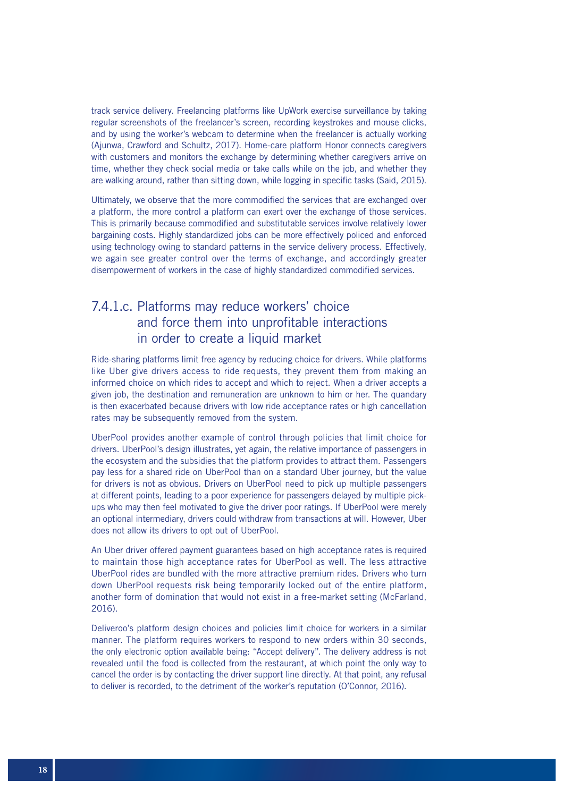track service delivery. Freelancing platforms like UpWork exercise surveillance by taking regular screenshots of the freelancer's screen, recording keystrokes and mouse clicks, and by using the worker's webcam to determine when the freelancer is actually working (Ajunwa, Crawford and Schultz, 2017). Home-care platform Honor connects caregivers with customers and monitors the exchange by determining whether caregivers arrive on time, whether they check social media or take calls while on the job, and whether they are walking around, rather than sitting down, while logging in specific tasks (Said, 2015).

Ultimately, we observe that the more commodified the services that are exchanged over a platform, the more control a platform can exert over the exchange of those services. This is primarily because commodified and substitutable services involve relatively lower bargaining costs. Highly standardized jobs can be more effectively policed and enforced using technology owing to standard patterns in the service delivery process. Effectively, we again see greater control over the terms of exchange, and accordingly greater disempowerment of workers in the case of highly standardized commodified services.

### 7.4.1.c. Platforms may reduce workers' choice and force them into unprofitable interactions in order to create a liquid market

Ride-sharing platforms limit free agency by reducing choice for drivers. While platforms like Uber give drivers access to ride requests, they prevent them from making an informed choice on which rides to accept and which to reject. When a driver accepts a given job, the destination and remuneration are unknown to him or her. The quandary is then exacerbated because drivers with low ride acceptance rates or high cancellation rates may be subsequently removed from the system.

UberPool provides another example of control through policies that limit choice for drivers. UberPool's design illustrates, yet again, the relative importance of passengers in the ecosystem and the subsidies that the platform provides to attract them. Passengers pay less for a shared ride on UberPool than on a standard Uber journey, but the value for drivers is not as obvious. Drivers on UberPool need to pick up multiple passengers at different points, leading to a poor experience for passengers delayed by multiple pickups who may then feel motivated to give the driver poor ratings. If UberPool were merely an optional intermediary, drivers could withdraw from transactions at will. However, Uber does not allow its drivers to opt out of UberPool.

An Uber driver offered payment guarantees based on high acceptance rates is required to maintain those high acceptance rates for UberPool as well. The less attractive UberPool rides are bundled with the more attractive premium rides. Drivers who turn down UberPool requests risk being temporarily locked out of the entire platform, another form of domination that would not exist in a free-market setting (McFarland,  $2016$ 

Deliveroo's platform design choices and policies limit choice for workers in a similar manner. The platform requires workers to respond to new orders within 30 seconds, the only electronic option available being: "Accept delivery". The delivery address is not revealed until the food is collected from the restaurant, at which point the only way to cancel the order is by contacting the driver support line directly. At that point, any refusal to deliver is recorded, to the detriment of the worker's reputation (O'Connor, 2016).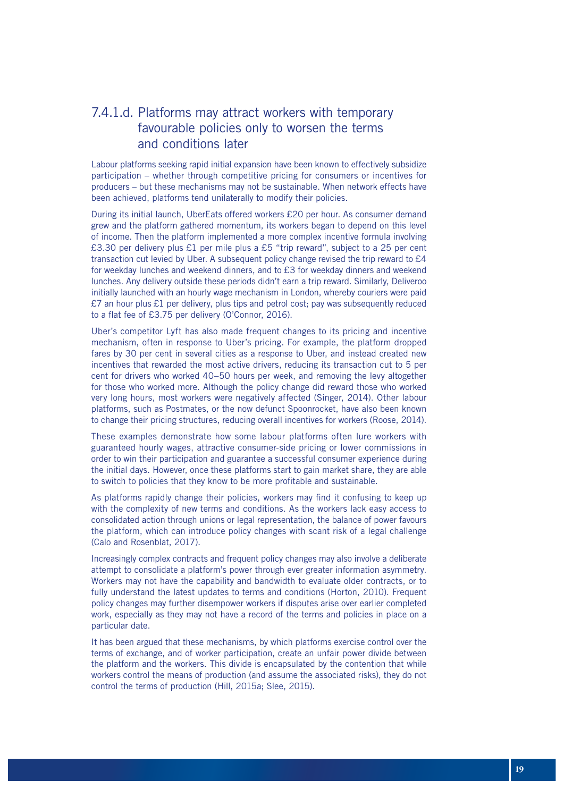### 7.4.1.d. Platforms may attract workers with temporary favourable policies only to worsen the terms and conditions later

Labour platforms seeking rapid initial expansion have been known to effectively subsidize participation – whether through competitive pricing for consumers or incentives for producers – but these mechanisms may not be sustainable. When network effects have been achieved, platforms tend unilaterally to modify their policies.

During its initial launch, UberEats offered workers £20 per hour. As consumer demand grew and the platform gathered momentum, its workers began to depend on this level of income. Then the platform implemented a more complex incentive formula involving £3.30 per delivery plus £1 per mile plus a £5 "trip reward", subject to a 25 per cent transaction cut levied by Uber. A subsequent policy change revised the trip reward to £4 for weekday lunches and weekend dinners, and to  $£3$  for weekday dinners and weekend lunches. Any delivery outside these periods didn't earn a trip reward. Similarly, Deliveroo initially launched with an hourly wage mechanism in London, whereby couriers were paid  $£7$  an hour plus £1 per delivery, plus tips and petrol cost; pay was subsequently reduced to a flat fee of £3.75 per delivery (O'Connor, 2016).

Uber's competitor Lyft has also made frequent changes to its pricing and incentive mechanism, often in response to Uber's pricing. For example, the platform dropped fares by 30 per cent in several cities as a response to Uber, and instead created new incentives that rewarded the most active drivers, reducing its transaction cut to 5 per cent for drivers who worked 40–50 hours per week, and removing the levy altogether for those who worked more. Although the policy change did reward those who worked very long hours, most workers were negatively affected (Singer, 2014). Other labour platforms, such as Postmates, or the now defunct Spoonrocket, have also been known to change their pricing structures, reducing overall incentives for workers (Roose, 2014).

These examples demonstrate how some labour platforms often lure workers with guaranteed hourly wages, attractive consumer-side pricing or lower commissions in order to win their participation and guarantee a successful consumer experience during the initial days. However, once these platforms start to gain market share, they are able to switch to policies that they know to be more profitable and sustainable.

As platforms rapidly change their policies, workers may find it confusing to keep up with the complexity of new terms and conditions. As the workers lack easy access to consolidated action through unions or legal representation, the balance of power favours the platform, which can introduce policy changes with scant risk of a legal challenge (Calo and Rosenblat, 2017).

Increasingly complex contracts and frequent policy changes may also involve a deliberate attempt to consolidate a platform's power through ever greater information asymmetry. Workers may not have the capability and bandwidth to evaluate older contracts, or to fully understand the latest updates to terms and conditions (Horton, 2010). Frequent policy changes may further disempower workers if disputes arise over earlier completed work, especially as they may not have a record of the terms and policies in place on a particular date.

It has been argued that these mechanisms, by which platforms exercise control over the terms of exchange, and of worker participation, create an unfair power divide between the platform and the workers. This divide is encapsulated by the contention that while workers control the means of production (and assume the associated risks), they do not control the terms of production (Hill, 2015a; Slee, 2015).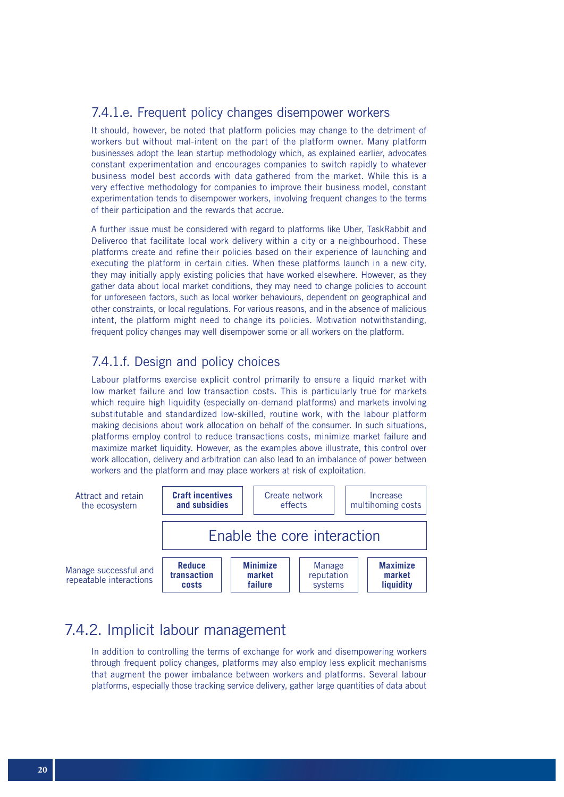#### 7.4.1.e. Frequent policy changes disempower workers

It should, however, be noted that platform policies may change to the detriment of workers but without mal-intent on the part of the platform owner. Many platform businesses adopt the lean startup methodology which, as explained earlier, advocates constant experimentation and encourages companies to switch rapidly to whatever business model best accords with data gathered from the market. While this is a very effective methodology for companies to improve their business model, constant experimentation tends to disempower workers, involving frequent changes to the terms of their participation and the rewards that accrue.

A further issue must be considered with regard to platforms like Uber, TaskRabbit and Deliveroo that facilitate local work delivery within a city or a neighbourhood. These platforms create and refine their policies based on their experience of launching and executing the platform in certain cities. When these platforms launch in a new city, they may initially apply existing policies that have worked elsewhere. However, as they gather data about local market conditions, they may need to change policies to account for unforeseen factors, such as local worker behaviours, dependent on geographical and other constraints, or local regulations. For various reasons, and in the absence of malicious intent, the platform might need to change its policies. Motivation notwithstanding, frequent policy changes may well disempower some or all workers on the platform.

### 7.4.1.f. Design and policy choices

Labour platforms exercise explicit control primarily to ensure a liquid market with low market failure and low transaction costs. This is particularly true for markets which require high liquidity (especially on-demand platforms) and markets involving substitutable and standardized low-skilled, routine work, with the labour platform making decisions about work allocation on behalf of the consumer. In such situations, platforms employ control to reduce transactions costs, minimize market failure and maximize market liquidity. However, as the examples above illustrate, this control over work allocation, delivery and arbitration can also lead to an imbalance of power between workers and the platform and may place workers at risk of exploitation.



### 7.4.2. Implicit labour management

In addition to controlling the terms of exchange for work and disempowering workers through frequent policy changes, platforms may also employ less explicit mechanisms that augment the power imbalance between workers and platforms. Several labour platforms, especially those tracking service delivery, gather large quantities of data about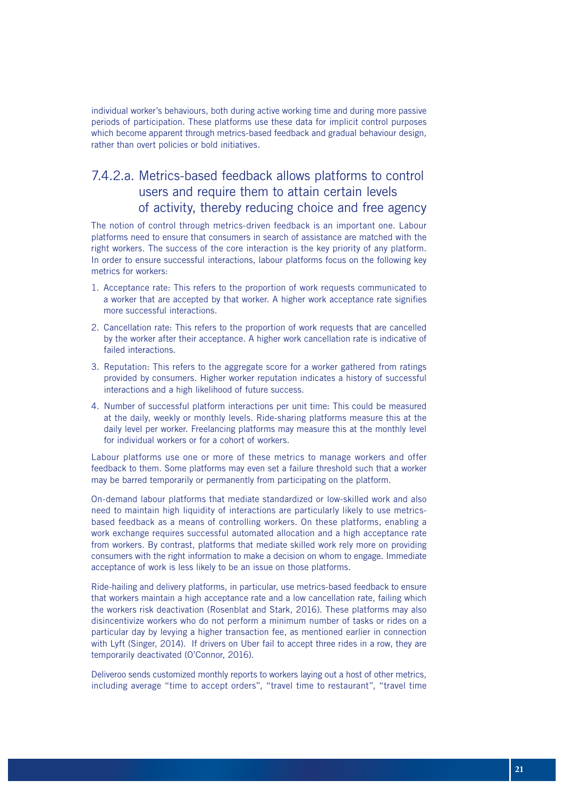individual worker's behaviours, both during active working time and during more passive periods of participation. These platforms use these data for implicit control purposes which become apparent through metrics-based feedback and gradual behaviour design, rather than overt policies or bold initiatives.

### 7.4.2.a. Metrics-based feedback allows platforms to control users and require them to attain certain levels of activity, thereby reducing choice and free agency

The notion of control through metrics-driven feedback is an important one. Labour platforms need to ensure that consumers in search of assistance are matched with the right workers. The success of the core interaction is the key priority of any platform. In order to ensure successful interactions, labour platforms focus on the following key metrics for workers:

- 1. Acceptance rate: This refers to the proportion of work requests communicated to a worker that are accepted by that worker. A higher work acceptance rate signifies more successful interactions.
- 2. Cancellation rate: This refers to the proportion of work requests that are cancelled by the worker after their acceptance. A higher work cancellation rate is indicative of failed interactions.
- 3. Reputation: This refers to the aggregate score for a worker gathered from ratings provided by consumers. Higher worker reputation indicates a history of successful interactions and a high likelihood of future success.
- 4. Number of successful platform interactions per unit time: This could be measured at the daily, weekly or monthly levels. Ride-sharing platforms measure this at the daily level per worker. Freelancing platforms may measure this at the monthly level for individual workers or for a cohort of workers.

Labour platforms use one or more of these metrics to manage workers and offer feedback to them. Some platforms may even set a failure threshold such that a worker may be barred temporarily or permanently from participating on the platform.

On-demand labour platforms that mediate standardized or low-skilled work and also need to maintain high liquidity of interactions are particularly likely to use metricsbased feedback as a means of controlling workers. On these platforms, enabling a work exchange requires successful automated allocation and a high acceptance rate from workers. By contrast, platforms that mediate skilled work rely more on providing consumers with the right information to make a decision on whom to engage. Immediate acceptance of work is less likely to be an issue on those platforms.

Ride-hailing and delivery platforms, in particular, use metrics-based feedback to ensure that workers maintain a high acceptance rate and a low cancellation rate, failing which the workers risk deactivation (Rosenblat and Stark, 2016). These platforms may also disincentivize workers who do not perform a minimum number of tasks or rides on a particular day by levying a higher transaction fee, as mentioned earlier in connection with Lyft (Singer, 2014). If drivers on Uber fail to accept three rides in a row, they are temporarily deactivated (O'Connor, 2016).

Deliveroo sends customized monthly reports to workers laying out a host of other metrics, including average "time to accept orders", "travel time to restaurant", "travel time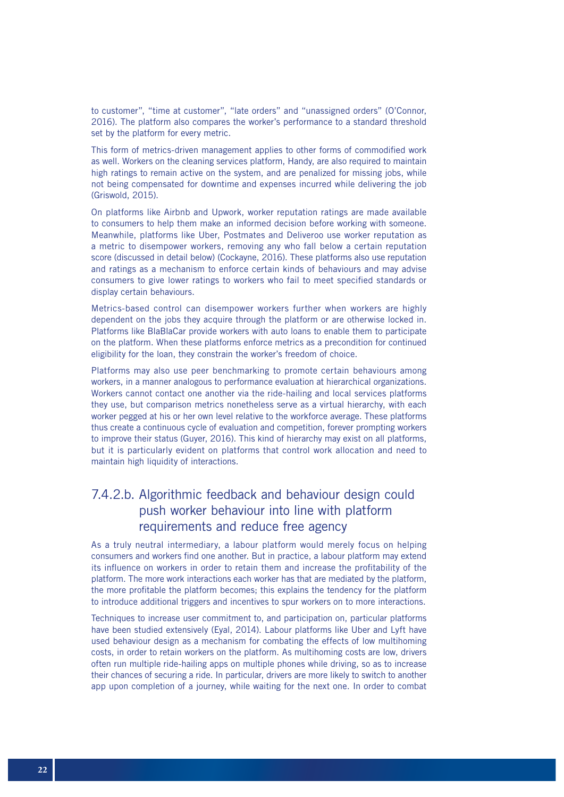to customer", "time at customer", "late orders" and "unassigned orders" (O'Connor, 2016). The platform also compares the worker's performance to a standard threshold set by the platform for every metric.

This form of metrics-driven management applies to other forms of commodified work as well. Workers on the cleaning services platform, Handy, are also required to maintain high ratings to remain active on the system, and are penalized for missing jobs, while not being compensated for downtime and expenses incurred while delivering the job (Griswold, 2015).

On platforms like Airbnb and Upwork, worker reputation ratings are made available to consumers to help them make an informed decision before working with someone. Meanwhile, platforms like Uber, Postmates and Deliveroo use worker reputation as a metric to disempower workers, removing any who fall below a certain reputation score (discussed in detail below) (Cockayne, 2016). These platforms also use reputation and ratings as a mechanism to enforce certain kinds of behaviours and may advise consumers to give lower ratings to workers who fail to meet specified standards or display certain behaviours.

Metrics-based control can disempower workers further when workers are highly dependent on the jobs they acquire through the platform or are otherwise locked in. Platforms like BlaBlaCar provide workers with auto loans to enable them to participate on the platform. When these platforms enforce metrics as a precondition for continued eligibility for the loan, they constrain the worker's freedom of choice.

Platforms may also use peer benchmarking to promote certain behaviours among workers, in a manner analogous to performance evaluation at hierarchical organizations. Workers cannot contact one another via the ride-hailing and local services platforms they use, but comparison metrics nonetheless serve as a virtual hierarchy, with each worker pegged at his or her own level relative to the workforce average. These platforms thus create a continuous cycle of evaluation and competition, forever prompting workers to improve their status (Guyer, 2016). This kind of hierarchy may exist on all platforms, but it is particularly evident on platforms that control work allocation and need to maintain high liquidity of interactions.

### 7.4.2.b. Algorithmic feedback and behaviour design could push worker behaviour into line with platform requirements and reduce free agency

As a truly neutral intermediary, a labour platform would merely focus on helping consumers and workers find one another. But in practice, a labour platform may extend its influence on workers in order to retain them and increase the profitability of the platform. The more work interactions each worker has that are mediated by the platform, the more profitable the platform becomes; this explains the tendency for the platform to introduce additional triggers and incentives to spur workers on to more interactions.

Techniques to increase user commitment to, and participation on, particular platforms have been studied extensively (Eyal, 2014). Labour platforms like Uber and Lyft have used behaviour design as a mechanism for combating the effects of low multihoming costs, in order to retain workers on the platform. As multihoming costs are low, drivers often run multiple ride-hailing apps on multiple phones while driving, so as to increase their chances of securing a ride. In particular, drivers are more likely to switch to another app upon completion of a journey, while waiting for the next one. In order to combat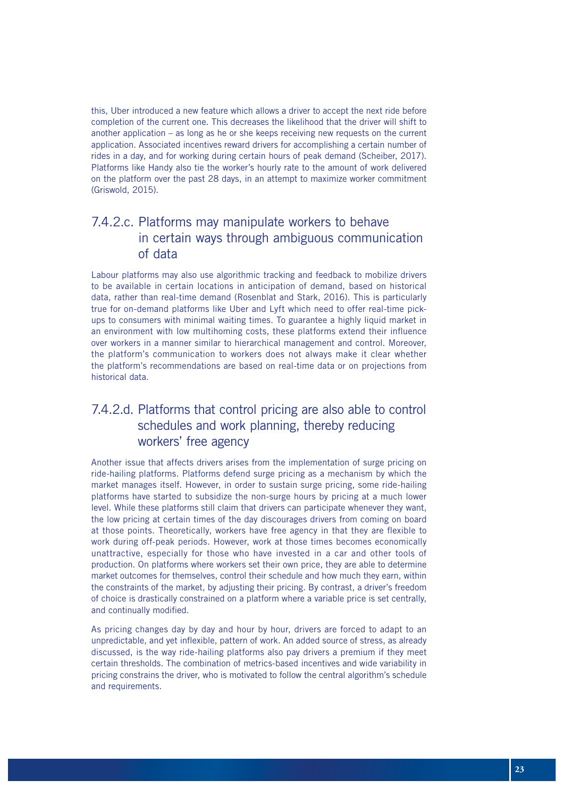this, Uber introduced a new feature which allows a driver to accept the next ride before completion of the current one. This decreases the likelihood that the driver will shift to another application – as long as he or she keeps receiving new requests on the current application. Associated incentives reward drivers for accomplishing a certain number of rides in a day, and for working during certain hours of peak demand (Scheiber, 2017). Platforms like Handy also tie the worker's hourly rate to the amount of work delivered on the platform over the past 28 days, in an attempt to maximize worker commitment (Griswold, 2015).

### 7.4.2.c. Platforms may manipulate workers to behave in certain ways through ambiguous communication of data

Labour platforms may also use algorithmic tracking and feedback to mobilize drivers to be available in certain locations in anticipation of demand, based on historical data, rather than real-time demand (Rosenblat and Stark, 2016). This is particularly true for on-demand platforms like Uber and Lyft which need to offer real-time pickups to consumers with minimal waiting times. To guarantee a highly liquid market in an environment with low multihoming costs, these platforms extend their influence over workers in a manner similar to hierarchical management and control. Moreover, the platform's communication to workers does not always make it clear whether the platform's recommendations are based on real-time data or on projections from historical data.

### 7.4.2.d. Platforms that control pricing are also able to control schedules and work planning, thereby reducing workers' free agency

Another issue that affects drivers arises from the implementation of surge pricing on ride-hailing platforms. Platforms defend surge pricing as a mechanism by which the market manages itself. However, in order to sustain surge pricing, some ride-hailing platforms have started to subsidize the non-surge hours by pricing at a much lower level. While these platforms still claim that drivers can participate whenever they want, the low pricing at certain times of the day discourages drivers from coming on board at those points. Theoretically, workers have free agency in that they are flexible to work during off-peak periods. However, work at those times becomes economically unattractive, especially for those who have invested in a car and other tools of production. On platforms where workers set their own price, they are able to determine market outcomes for themselves, control their schedule and how much they earn, within the constraints of the market, by adjusting their pricing. By contrast, a driver's freedom of choice is drastically constrained on a platform where a variable price is set centrally, and continually modified.

As pricing changes day by day and hour by hour, drivers are forced to adapt to an unpredictable, and yet inflexible, pattern of work. An added source of stress, as already discussed, is the way ride-hailing platforms also pay drivers a premium if they meet certain thresholds. The combination of metrics-based incentives and wide variability in pricing constrains the driver, who is motivated to follow the central algorithm's schedule and requirements.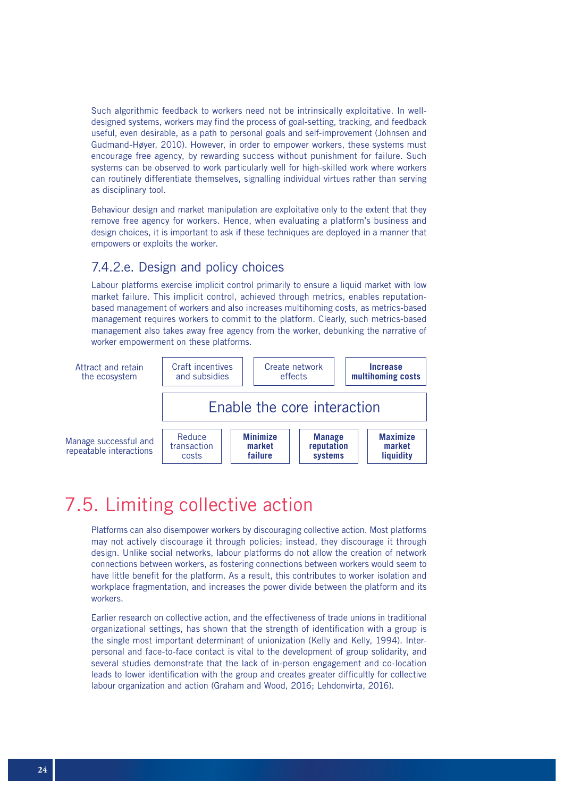Such algorithmic feedback to workers need not be intrinsically exploitative. In welldesigned systems, workers may find the process of goal-setting, tracking, and feedback useful, even desirable, as a path to personal goals and self-improvement (Johnsen and Gudmand-Høyer, 2010). However, in order to empower workers, these systems must encourage free agency, by rewarding success without punishment for failure. Such systems can be observed to work particularly well for high-skilled work where workers can routinely differentiate themselves, signalling individual virtues rather than serving as disciplinary tool.

Behaviour design and market manipulation are exploitative only to the extent that they remove free agency for workers. Hence, when evaluating a platform's business and design choices, it is important to ask if these techniques are deployed in a manner that empowers or exploits the worker.

### 7.4.2.e. Design and policy choices

Labour platforms exercise implicit control primarily to ensure a liquid market with low market failure. This implicit control, achieved through metrics, enables reputationbased management of workers and also increases multihoming costs, as metrics-based management requires workers to commit to the platform. Clearly, such metrics-based management also takes away free agency from the worker, debunking the narrative of worker empowerment on these platforms.



## 7.5. Limiting collective action

Platforms can also disempower workers by discouraging collective action. Most platforms may not actively discourage it through policies; instead, they discourage it through design. Unlike social networks, labour platforms do not allow the creation of network connections between workers, as fostering connections between workers would seem to have little benefit for the platform. As a result, this contributes to worker isolation and workplace fragmentation, and increases the power divide between the platform and its workers.

Earlier research on collective action, and the effectiveness of trade unions in traditional organizational settings, has shown that the strength of identification with a group is the single most important determinant of unionization (Kelly and Kelly, 1994). Interpersonal and face-to-face contact is vital to the development of group solidarity, and several studies demonstrate that the lack of in-person engagement and co-location leads to lower identification with the group and creates greater difficultly for collective labour organization and action (Graham and Wood, 2016; Lehdonvirta, 2016).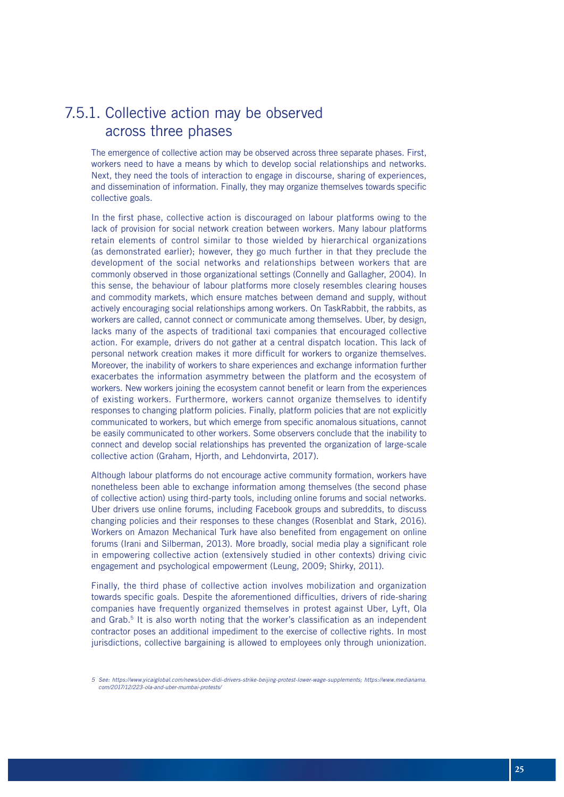### 7.5.1. Collective action may be observed across three phases

The emergence of collective action may be observed across three separate phases. First, workers need to have a means by which to develop social relationships and networks. Next, they need the tools of interaction to engage in discourse, sharing of experiences, and dissemination of information. Finally, they may organize themselves towards specific collective goals.

In the first phase, collective action is discouraged on labour platforms owing to the lack of provision for social network creation between workers. Many labour platforms retain elements of control similar to those wielded by hierarchical organizations (as demonstrated earlier); however, they go much further in that they preclude the development of the social networks and relationships between workers that are commonly observed in those organizational settings (Connelly and Gallagher, 2004). In this sense, the behaviour of labour platforms more closely resembles clearing houses and commodity markets, which ensure matches between demand and supply, without actively encouraging social relationships among workers. On TaskRabbit, the rabbits, as workers are called, cannot connect or communicate among themselves. Uber, by design, lacks many of the aspects of traditional taxi companies that encouraged collective action. For example, drivers do not gather at a central dispatch location. This lack of personal network creation makes it more difficult for workers to organize themselves. Moreover, the inability of workers to share experiences and exchange information further exacerbates the information asymmetry between the platform and the ecosystem of workers. New workers joining the ecosystem cannot benefit or learn from the experiences of existing workers. Furthermore, workers cannot organize themselves to identify responses to changing platform policies. Finally, platform policies that are not explicitly communicated to workers, but which emerge from specific anomalous situations, cannot be easily communicated to other workers. Some observers conclude that the inability to connect and develop social relationships has prevented the organization of large-scale collective action (Graham, Hjorth, and Lehdonvirta, 2017).

Although labour platforms do not encourage active community formation, workers have nonetheless been able to exchange information among themselves (the second phase of collective action) using third-party tools, including online forums and social networks. Uber drivers use online forums, including Facebook groups and subreddits, to discuss changing policies and their responses to these changes (Rosenblat and Stark, 2016). Workers on Amazon Mechanical Turk have also benefited from engagement on online forums (Irani and Silberman, 2013). More broadly, social media play a significant role in empowering collective action (extensively studied in other contexts) driving civic engagement and psychological empowerment (Leung, 2009; Shirky, 2011).

Finally, the third phase of collective action involves mobilization and organization towards specific goals. Despite the aforementioned difficulties, drivers of ride-sharing companies have frequently organized themselves in protest against Uber, Lyft, Ola and Grab.<sup>5</sup> It is also worth noting that the worker's classification as an independent contractor poses an additional impediment to the exercise of collective rights. In most jurisdictions, collective bargaining is allowed to employees only through unionization.

*<sup>5</sup> See: https://www.yicaiglobal.com/news/uber-didi-drivers-strike-beijing-protest-lower-wage-supplements; https://www.medianama. com/2017/12/223-ola-and-uber-mumbai-protests/*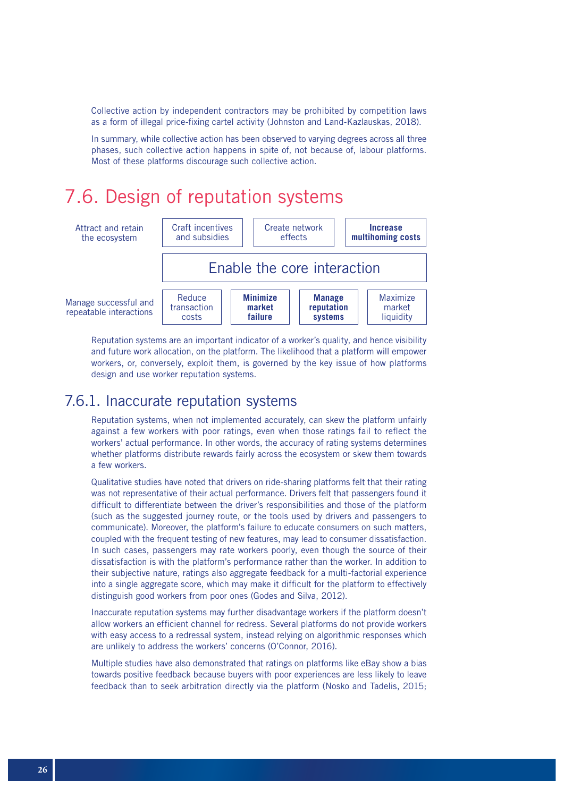Collective action by independent contractors may be prohibited by competition laws as a form of illegal price-fixing cartel activity (Johnston and Land-Kazlauskas, 2018).

In summary, while collective action has been observed to varying degrees across all three phases, such collective action happens in spite of, not because of, labour platforms. Most of these platforms discourage such collective action.

## 7.6. Design of reputation systems



Reputation systems are an important indicator of a worker's quality, and hence visibility and future work allocation, on the platform. The likelihood that a platform will empower workers, or, conversely, exploit them, is governed by the key issue of how platforms design and use worker reputation systems.

### 7.6.1. Inaccurate reputation systems

Reputation systems, when not implemented accurately, can skew the platform unfairly against a few workers with poor ratings, even when those ratings fail to reflect the workers' actual performance. In other words, the accuracy of rating systems determines whether platforms distribute rewards fairly across the ecosystem or skew them towards a few workers.

Qualitative studies have noted that drivers on ride-sharing platforms felt that their rating was not representative of their actual performance. Drivers felt that passengers found it difficult to differentiate between the driver's responsibilities and those of the platform (such as the suggested journey route, or the tools used by drivers and passengers to communicate). Moreover, the platform's failure to educate consumers on such matters, coupled with the frequent testing of new features, may lead to consumer dissatisfaction. In such cases, passengers may rate workers poorly, even though the source of their dissatisfaction is with the platform's performance rather than the worker. In addition to their subjective nature, ratings also aggregate feedback for a multi-factorial experience into a single aggregate score, which may make it difficult for the platform to effectively distinguish good workers from poor ones (Godes and Silva, 2012).

Inaccurate reputation systems may further disadvantage workers if the platform doesn't allow workers an efficient channel for redress. Several platforms do not provide workers with easy access to a redressal system, instead relying on algorithmic responses which are unlikely to address the workers' concerns (O'Connor, 2016).

Multiple studies have also demonstrated that ratings on platforms like eBay show a bias towards positive feedback because buyers with poor experiences are less likely to leave feedback than to seek arbitration directly via the platform (Nosko and Tadelis, 2015;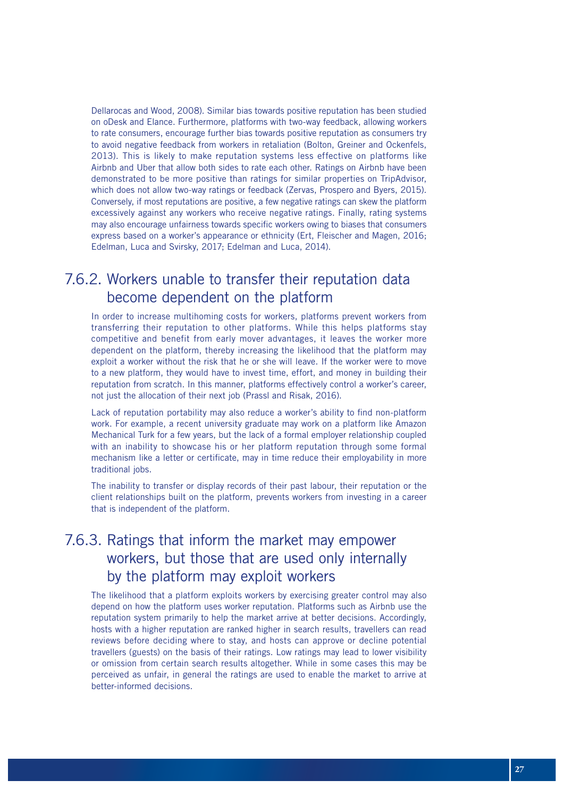Dellarocas and Wood, 2008). Similar bias towards positive reputation has been studied on oDesk and Elance. Furthermore, platforms with two-way feedback, allowing workers to rate consumers, encourage further bias towards positive reputation as consumers try to avoid negative feedback from workers in retaliation (Bolton, Greiner and Ockenfels, 2013). This is likely to make reputation systems less effective on platforms like Airbnb and Uber that allow both sides to rate each other. Ratings on Airbnb have been demonstrated to be more positive than ratings for similar properties on TripAdvisor, which does not allow two-way ratings or feedback (Zervas, Prospero and Byers, 2015). Conversely, if most reputations are positive, a few negative ratings can skew the platform excessively against any workers who receive negative ratings. Finally, rating systems may also encourage unfairness towards specific workers owing to biases that consumers express based on a worker's appearance or ethnicity (Ert, Fleischer and Magen, 2016; Edelman, Luca and Svirsky, 2017; Edelman and Luca, 2014).

### 7.6.2. Workers unable to transfer their reputation data become dependent on the platform

In order to increase multihoming costs for workers, platforms prevent workers from transferring their reputation to other platforms. While this helps platforms stay competitive and benefit from early mover advantages, it leaves the worker more dependent on the platform, thereby increasing the likelihood that the platform may exploit a worker without the risk that he or she will leave. If the worker were to move to a new platform, they would have to invest time, effort, and money in building their reputation from scratch. In this manner, platforms effectively control a worker's career, not just the allocation of their next job (Prassl and Risak, 2016).

Lack of reputation portability may also reduce a worker's ability to find non-platform work. For example, a recent university graduate may work on a platform like Amazon Mechanical Turk for a few years, but the lack of a formal employer relationship coupled with an inability to showcase his or her platform reputation through some formal mechanism like a letter or certificate, may in time reduce their employability in more traditional jobs.

The inability to transfer or display records of their past labour, their reputation or the client relationships built on the platform, prevents workers from investing in a career that is independent of the platform.

### 7.6.3. Ratings that inform the market may empower workers, but those that are used only internally by the platform may exploit workers

The likelihood that a platform exploits workers by exercising greater control may also depend on how the platform uses worker reputation. Platforms such as Airbnb use the reputation system primarily to help the market arrive at better decisions. Accordingly, hosts with a higher reputation are ranked higher in search results, travellers can read reviews before deciding where to stay, and hosts can approve or decline potential travellers (guests) on the basis of their ratings. Low ratings may lead to lower visibility or omission from certain search results altogether. While in some cases this may be perceived as unfair, in general the ratings are used to enable the market to arrive at better-informed decisions.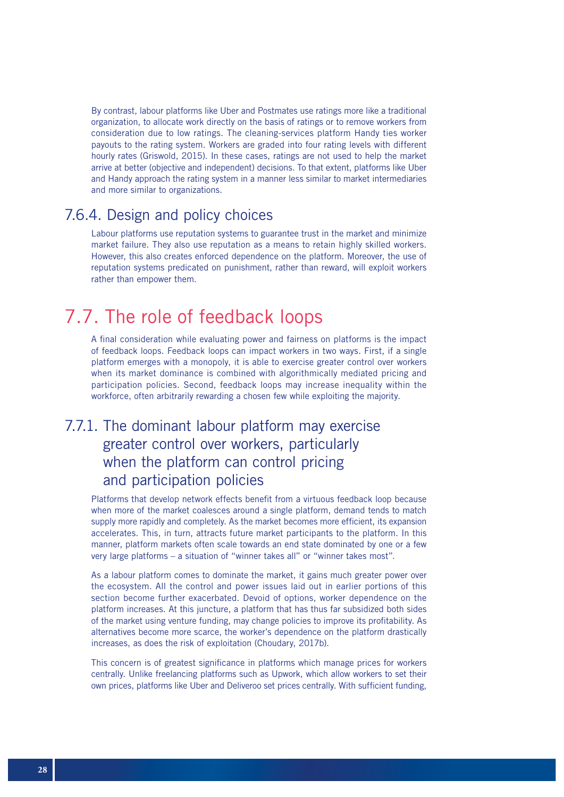By contrast, labour platforms like Uber and Postmates use ratings more like a traditional organization, to allocate work directly on the basis of ratings or to remove workers from consideration due to low ratings. The cleaning-services platform Handy ties worker payouts to the rating system. Workers are graded into four rating levels with different hourly rates (Griswold, 2015). In these cases, ratings are not used to help the market arrive at better (objective and independent) decisions. To that extent, platforms like Uber and Handy approach the rating system in a manner less similar to market intermediaries and more similar to organizations.

### 7.6.4. Design and policy choices

Labour platforms use reputation systems to guarantee trust in the market and minimize market failure. They also use reputation as a means to retain highly skilled workers. However, this also creates enforced dependence on the platform. Moreover, the use of reputation systems predicated on punishment, rather than reward, will exploit workers rather than empower them.

## 7.7. The role of feedback loops

A final consideration while evaluating power and fairness on platforms is the impact of feedback loops. Feedback loops can impact workers in two ways. First, if a single platform emerges with a monopoly, it is able to exercise greater control over workers when its market dominance is combined with algorithmically mediated pricing and participation policies. Second, feedback loops may increase inequality within the workforce, often arbitrarily rewarding a chosen few while exploiting the majority.

### 7.7.1. The dominant labour platform may exercise greater control over workers, particularly when the platform can control pricing and participation policies

Platforms that develop network effects benefit from a virtuous feedback loop because when more of the market coalesces around a single platform, demand tends to match supply more rapidly and completely. As the market becomes more efficient, its expansion accelerates. This, in turn, attracts future market participants to the platform. In this manner, platform markets often scale towards an end state dominated by one or a few very large platforms – a situation of "winner takes all" or "winner takes most".

As a labour platform comes to dominate the market, it gains much greater power over the ecosystem. All the control and power issues laid out in earlier portions of this section become further exacerbated. Devoid of options, worker dependence on the platform increases. At this juncture, a platform that has thus far subsidized both sides of the market using venture funding, may change policies to improve its profitability. As alternatives become more scarce, the worker's dependence on the platform drastically increases, as does the risk of exploitation (Choudary, 2017b).

This concern is of greatest significance in platforms which manage prices for workers centrally. Unlike freelancing platforms such as Upwork, which allow workers to set their own prices, platforms like Uber and Deliveroo set prices centrally. With sufficient funding,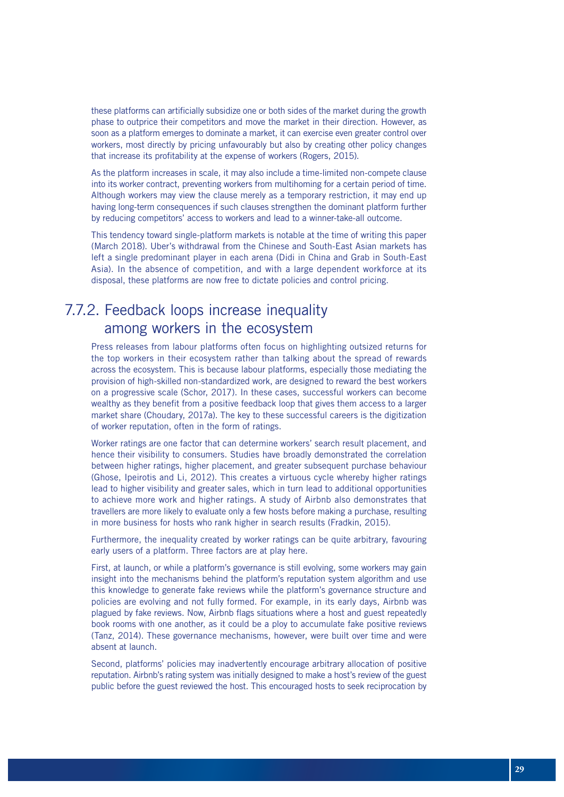these platforms can artificially subsidize one or both sides of the market during the growth phase to outprice their competitors and move the market in their direction. However, as soon as a platform emerges to dominate a market, it can exercise even greater control over workers, most directly by pricing unfavourably but also by creating other policy changes that increase its profitability at the expense of workers (Rogers, 2015).

As the platform increases in scale, it may also include a time-limited non-compete clause into its worker contract, preventing workers from multihoming for a certain period of time. Although workers may view the clause merely as a temporary restriction, it may end up having long-term consequences if such clauses strengthen the dominant platform further by reducing competitors' access to workers and lead to a winner-take-all outcome.

This tendency toward single-platform markets is notable at the time of writing this paper (March 2018). Uber's withdrawal from the Chinese and South-East Asian markets has left a single predominant player in each arena (Didi in China and Grab in South-East Asia). In the absence of competition, and with a large dependent workforce at its disposal, these platforms are now free to dictate policies and control pricing.

### 7.7.2. Feedback loops increase inequality among workers in the ecosystem

Press releases from labour platforms often focus on highlighting outsized returns for the top workers in their ecosystem rather than talking about the spread of rewards across the ecosystem. This is because labour platforms, especially those mediating the provision of high-skilled non-standardized work, are designed to reward the best workers on a progressive scale (Schor, 2017). In these cases, successful workers can become wealthy as they benefit from a positive feedback loop that gives them access to a larger market share (Choudary, 2017a). The key to these successful careers is the digitization of worker reputation, often in the form of ratings.

Worker ratings are one factor that can determine workers' search result placement, and hence their visibility to consumers. Studies have broadly demonstrated the correlation between higher ratings, higher placement, and greater subsequent purchase behaviour (Ghose, Ipeirotis and Li, 2012). This creates a virtuous cycle whereby higher ratings lead to higher visibility and greater sales, which in turn lead to additional opportunities to achieve more work and higher ratings. A study of Airbnb also demonstrates that travellers are more likely to evaluate only a few hosts before making a purchase, resulting in more business for hosts who rank higher in search results (Fradkin, 2015).

Furthermore, the inequality created by worker ratings can be quite arbitrary, favouring early users of a platform. Three factors are at play here.

First, at launch, or while a platform's governance is still evolving, some workers may gain insight into the mechanisms behind the platform's reputation system algorithm and use this knowledge to generate fake reviews while the platform's governance structure and policies are evolving and not fully formed. For example, in its early days, Airbnb was plagued by fake reviews. Now, Airbnb flags situations where a host and guest repeatedly book rooms with one another, as it could be a ploy to accumulate fake positive reviews (Tanz, 2014). These governance mechanisms, however, were built over time and were absent at launch.

Second, platforms' policies may inadvertently encourage arbitrary allocation of positive reputation. Airbnb's rating system was initially designed to make a host's review of the guest public before the guest reviewed the host. This encouraged hosts to seek reciprocation by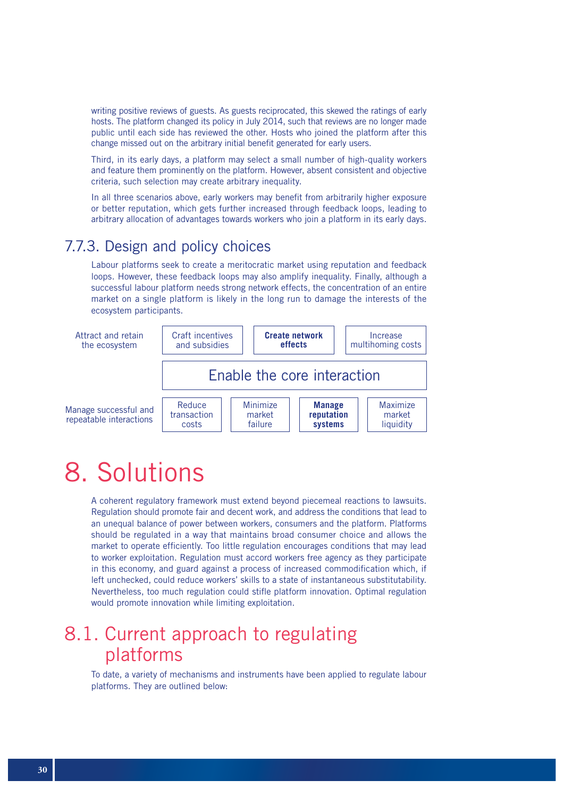writing positive reviews of guests. As guests reciprocated, this skewed the ratings of early hosts. The platform changed its policy in July 2014, such that reviews are no longer made public until each side has reviewed the other. Hosts who joined the platform after this change missed out on the arbitrary initial benefit generated for early users.

Third, in its early days, a platform may select a small number of high-quality workers and feature them prominently on the platform. However, absent consistent and objective criteria, such selection may create arbitrary inequality.

In all three scenarios above, early workers may benefit from arbitrarily higher exposure or better reputation, which gets further increased through feedback loops, leading to arbitrary allocation of advantages towards workers who join a platform in its early days.

### 7.7.3. Design and policy choices

Labour platforms seek to create a meritocratic market using reputation and feedback loops. However, these feedback loops may also amplify inequality. Finally, although a successful labour platform needs strong network effects, the concentration of an entire market on a single platform is likely in the long run to damage the interests of the ecosystem participants.



## 8. Solutions

A coherent regulatory framework must extend beyond piecemeal reactions to lawsuits. Regulation should promote fair and decent work, and address the conditions that lead to an unequal balance of power between workers, consumers and the platform. Platforms should be regulated in a way that maintains broad consumer choice and allows the market to operate efficiently. Too little regulation encourages conditions that may lead to worker exploitation. Regulation must accord workers free agency as they participate in this economy, and guard against a process of increased commodification which, if left unchecked, could reduce workers' skills to a state of instantaneous substitutability. Nevertheless, too much regulation could stifle platform innovation. Optimal regulation would promote innovation while limiting exploitation.

### 8.1. Current approach to regulating platforms

To date, a variety of mechanisms and instruments have been applied to regulate labour platforms. They are outlined below: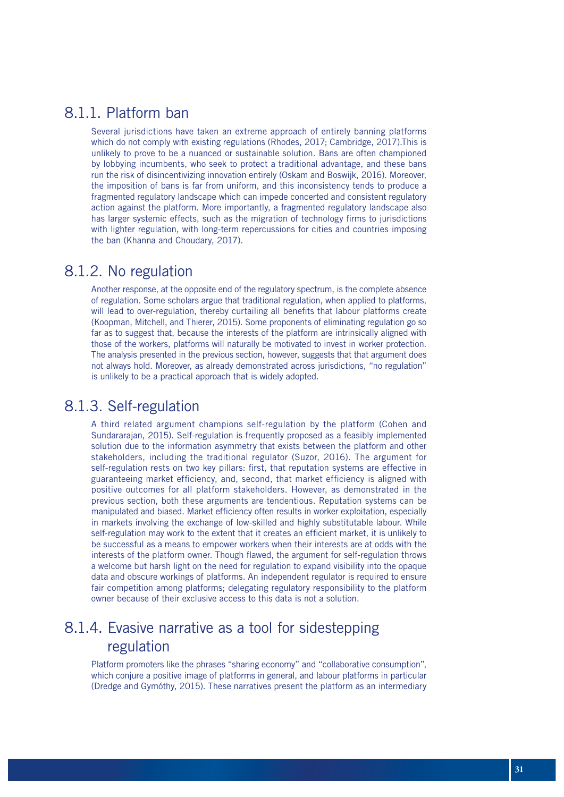### 8.1.1. Platform ban

Several jurisdictions have taken an extreme approach of entirely banning platforms which do not comply with existing regulations (Rhodes, 2017; Cambridge, 2017).This is unlikely to prove to be a nuanced or sustainable solution. Bans are often championed by lobbying incumbents, who seek to protect a traditional advantage, and these bans run the risk of disincentivizing innovation entirely (Oskam and Boswijk, 2016). Moreover, the imposition of bans is far from uniform, and this inconsistency tends to produce a fragmented regulatory landscape which can impede concerted and consistent regulatory action against the platform. More importantly, a fragmented regulatory landscape also has larger systemic effects, such as the migration of technology firms to jurisdictions with lighter regulation, with long-term repercussions for cities and countries imposing the ban (Khanna and Choudary, 2017).

### 8.1.2. No regulation

Another response, at the opposite end of the regulatory spectrum, is the complete absence of regulation. Some scholars argue that traditional regulation, when applied to platforms, will lead to over-regulation, thereby curtailing all benefits that labour platforms create (Koopman, Mitchell, and Thierer, 2015). Some proponents of eliminating regulation go so far as to suggest that, because the interests of the platform are intrinsically aligned with those of the workers, platforms will naturally be motivated to invest in worker protection. The analysis presented in the previous section, however, suggests that that argument does not always hold. Moreover, as already demonstrated across jurisdictions, "no regulation" is unlikely to be a practical approach that is widely adopted.

### 8.1.3. Self-regulation

A third related argument champions self-regulation by the platform (Cohen and Sundararajan, 2015). Self-regulation is frequently proposed as a feasibly implemented solution due to the information asymmetry that exists between the platform and other stakeholders, including the traditional regulator (Suzor, 2016). The argument for self-regulation rests on two key pillars: first, that reputation systems are effective in guaranteeing market efficiency, and, second, that market efficiency is aligned with positive outcomes for all platform stakeholders. However, as demonstrated in the previous section, both these arguments are tendentious. Reputation systems can be manipulated and biased. Market efficiency often results in worker exploitation, especially in markets involving the exchange of low-skilled and highly substitutable labour. While self-regulation may work to the extent that it creates an efficient market, it is unlikely to be successful as a means to empower workers when their interests are at odds with the interests of the platform owner. Though flawed, the argument for self-regulation throws a welcome but harsh light on the need for regulation to expand visibility into the opaque data and obscure workings of platforms. An independent regulator is required to ensure fair competition among platforms; delegating regulatory responsibility to the platform owner because of their exclusive access to this data is not a solution.

### 8.1.4. Evasive narrative as a tool for sidestepping regulation

Platform promoters like the phrases "sharing economy" and "collaborative consumption", which conjure a positive image of platforms in general, and labour platforms in particular (Dredge and Gymóthy, 2015). These narratives present the platform as an intermediary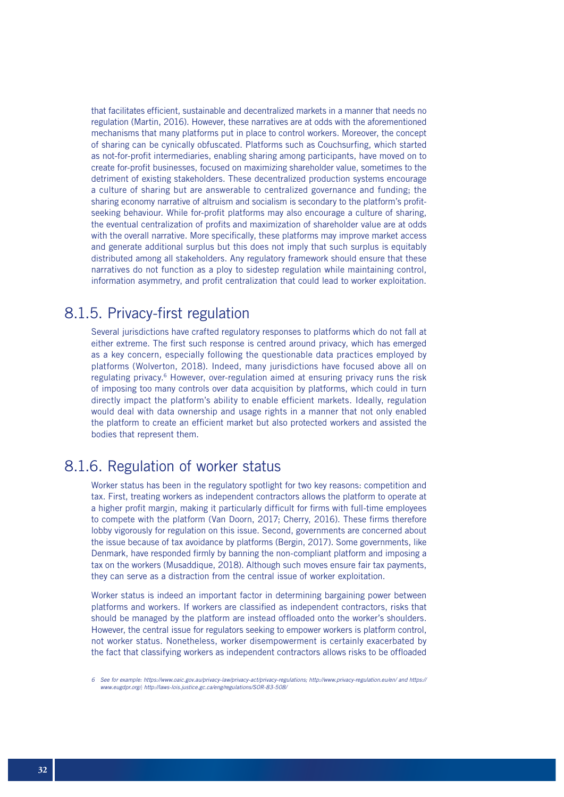that facilitates efficient, sustainable and decentralized markets in a manner that needs no regulation (Martin, 2016). However, these narratives are at odds with the aforementioned mechanisms that many platforms put in place to control workers. Moreover, the concept of sharing can be cynically obfuscated. Platforms such as Couchsurfing, which started as not-for-profit intermediaries, enabling sharing among participants, have moved on to create for-profit businesses, focused on maximizing shareholder value, sometimes to the detriment of existing stakeholders. These decentralized production systems encourage a culture of sharing but are answerable to centralized governance and funding; the sharing economy narrative of altruism and socialism is secondary to the platform's profitseeking behaviour. While for-profit platforms may also encourage a culture of sharing, the eventual centralization of profits and maximization of shareholder value are at odds with the overall narrative. More specifically, these platforms may improve market access and generate additional surplus but this does not imply that such surplus is equitably distributed among all stakeholders. Any regulatory framework should ensure that these narratives do not function as a ploy to sidestep regulation while maintaining control, information asymmetry, and profit centralization that could lead to worker exploitation.

### 8.1.5. Privacy-first regulation

Several jurisdictions have crafted regulatory responses to platforms which do not fall at either extreme. The first such response is centred around privacy, which has emerged as a key concern, especially following the questionable data practices employed by platforms (Wolverton, 2018). Indeed, many jurisdictions have focused above all on regulating privacy.<sup>6</sup> However, over-regulation aimed at ensuring privacy runs the risk of imposing too many controls over data acquisition by platforms, which could in turn directly impact the platform's ability to enable efficient markets. Ideally, regulation would deal with data ownership and usage rights in a manner that not only enabled the platform to create an efficient market but also protected workers and assisted the bodies that represent them.

### 8.1.6. Regulation of worker status

Worker status has been in the regulatory spotlight for two key reasons: competition and tax. First, treating workers as independent contractors allows the platform to operate at a higher profit margin, making it particularly difficult for firms with full-time employees to compete with the platform (Van Doorn, 2017; Cherry, 2016). These firms therefore lobby vigorously for regulation on this issue. Second, governments are concerned about the issue because of tax avoidance by platforms (Bergin, 2017). Some governments, like Denmark, have responded firmly by banning the non-compliant platform and imposing a tax on the workers (Musaddique, 2018). Although such moves ensure fair tax payments, they can serve as a distraction from the central issue of worker exploitation.

Worker status is indeed an important factor in determining bargaining power between platforms and workers. If workers are classified as independent contractors, risks that should be managed by the platform are instead offloaded onto the worker's shoulders. However, the central issue for regulators seeking to empower workers is platform control, not worker status. Nonetheless, worker disempowerment is certainly exacerbated by the fact that classifying workers as independent contractors allows risks to be offloaded

*<sup>6</sup> See for example: https://www.oaic.gov.au/privacy-law/privacy-act/privacy-regulations; http://www.privacy-regulation.eu/en/ and https:// www.eugdpr.org/; http://laws-lois.justice.gc.ca/eng/regulations/SOR-83-508/*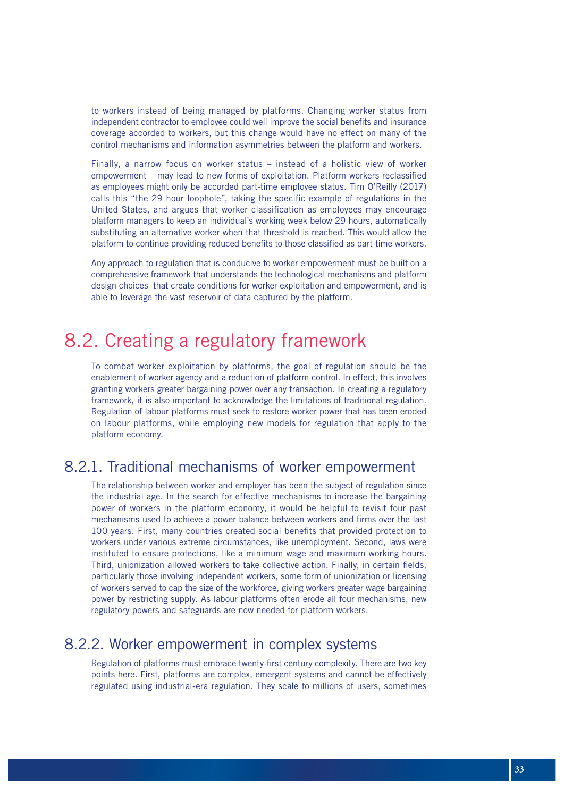to workers instead of being managed by platforms. Changing worker status from independent contractor to employee could well improve the social benefits and insurance coverage accorded to workers, but this change would have no effect on many of the control mechanisms and information asymmetries between the platform and workers.

Finally, a narrow focus on worker status – instead of a holistic view of worker empowerment – may lead to new forms of exploitation. Platform workers reclassified as employees might only be accorded part-time employee status. Tim O'Reilly (2017) calls this "the 29 hour loophole", taking the specific example of regulations in the United States, and argues that worker classification as employees may encourage platform managers to keep an individual's working week below 29 hours, automatically substituting an alternative worker when that threshold is reached. This would allow the platform to continue providing reduced benefits to those classified as part-time workers.

Any approach to regulation that is conducive to worker empowerment must be built on a comprehensive framework that understands the technological mechanisms and platform design choices that create conditions for worker exploitation and empowerment, and is able to leverage the vast reservoir of data captured by the platform.

### 8.2. Creating a regulatory framework

To combat worker exploitation by platforms, the goal of regulation should be the enablement of worker agency and a reduction of platform control. In effect, this involves granting workers greater bargaining power over any transaction. In creating a regulatory framework, it is also important to acknowledge the limitations of traditional regulation. Regulation of labour platforms must seek to restore worker power that has been eroded on labour platforms, while employing new models for regulation that apply to the platform economy.

### 8.2.1. Traditional mechanisms of worker empowerment

The relationship between worker and employer has been the subject of regulation since the industrial age. In the search for effective mechanisms to increase the bargaining power of workers in the platform economy, it would be helpful to revisit four past mechanisms used to achieve a power balance between workers and firms over the last 100 years. First, many countries created social benefits that provided protection to workers under various extreme circumstances, like unemployment. Second, laws were instituted to ensure protections, like a minimum wage and maximum working hours. Third, unionization allowed workers to take collective action. Finally, in certain fields, particularly those involving independent workers, some form of unionization or licensing of workers served to cap the size of the workforce, giving workers greater wage bargaining power by restricting supply. As labour platforms often erode all four mechanisms, new regulatory powers and safeguards are now needed for platform workers.

### 8.2.2. Worker empowerment in complex systems

Regulation of platforms must embrace twenty-first century complexity. There are two key points here. First, platforms are complex, emergent systems and cannot be effectively regulated using industrial-era regulation. They scale to millions of users, sometimes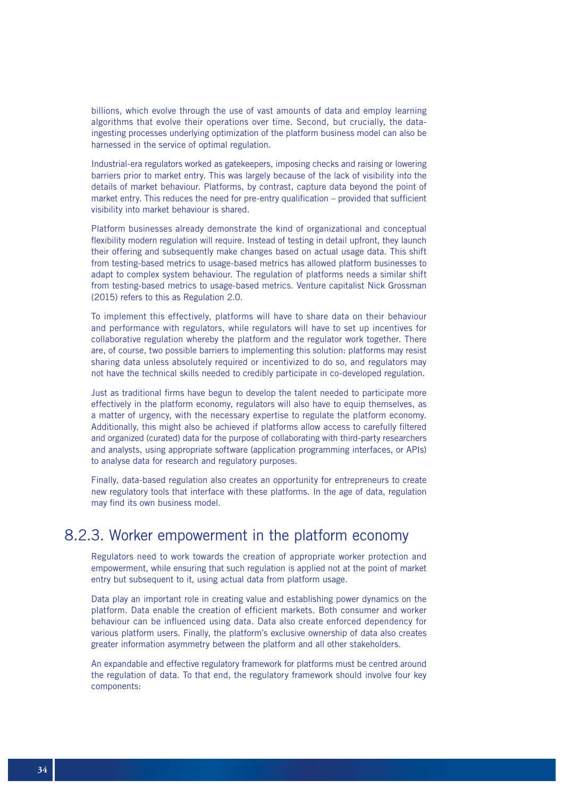billions, which evolve through the use of vast amounts of data and employ learning algorithms that evolve their operations over time. Second, but crucially, the dataingesting processes underlying optimization of the platform business model can also be harnessed in the service of optimal regulation.

Industrial-era regulators worked as gatekeepers, imposing checks and raising or lowering barriers prior to market entry. This was largely because of the lack of visibility into the details of market behaviour. Platforms, by contrast, capture data beyond the point of market entry. This reduces the need for pre-entry qualification – provided that sufficient visibility into market behaviour is shared.

Platform businesses already demonstrate the kind of organizational and conceptual flexibility modern regulation will require. Instead of testing in detail upfront, they launch their offering and subsequently make changes based on actual usage data. This shift from testing-based metrics to usage-based metrics has allowed platform businesses to adapt to complex system behaviour. The regulation of platforms needs a similar shift from testing-based metrics to usage-based metrics. Venture capitalist Nick Grossman (2015) refers to this as Regulation 2.0.

To implement this effectively, platforms will have to share data on their behaviour and performance with regulators, while regulators will have to set up incentives for collaborative regulation whereby the platform and the regulator work together. There are, of course, two possible barriers to implementing this solution: platforms may resist sharing data unless absolutely required or incentivized to do so, and regulators may not have the technical skills needed to credibly participate in co-developed regulation.

Just as traditional firms have begun to develop the talent needed to participate more effectively in the platform economy, regulators will also have to equip themselves, as a matter of urgency, with the necessary expertise to regulate the platform economy. Additionally, this might also be achieved if platforms allow access to carefully filtered and organized (curated) data for the purpose of collaborating with third-party researchers and analysts, using appropriate software (application programming interfaces, or APIs) to analyse data for research and regulatory purposes.

Finally, data-based regulation also creates an opportunity for entrepreneurs to create new regulatory tools that interface with these platforms. In the age of data, regulation may find its own business model.

### 8.2.3. Worker empowerment in the platform economy

Regulators need to work towards the creation of appropriate worker protection and empowerment, while ensuring that such regulation is applied not at the point of market entry but subsequent to it, using actual data from platform usage.

Data play an important role in creating value and establishing power dynamics on the platform. Data enable the creation of efficient markets. Both consumer and worker behaviour can be influenced using data. Data also create enforced dependency for various platform users. Finally, the platform's exclusive ownership of data also creates greater information asymmetry between the platform and all other stakeholders.

An expandable and effective regulatory framework for platforms must be centred around the regulation of data. To that end, the regulatory framework should involve four key components: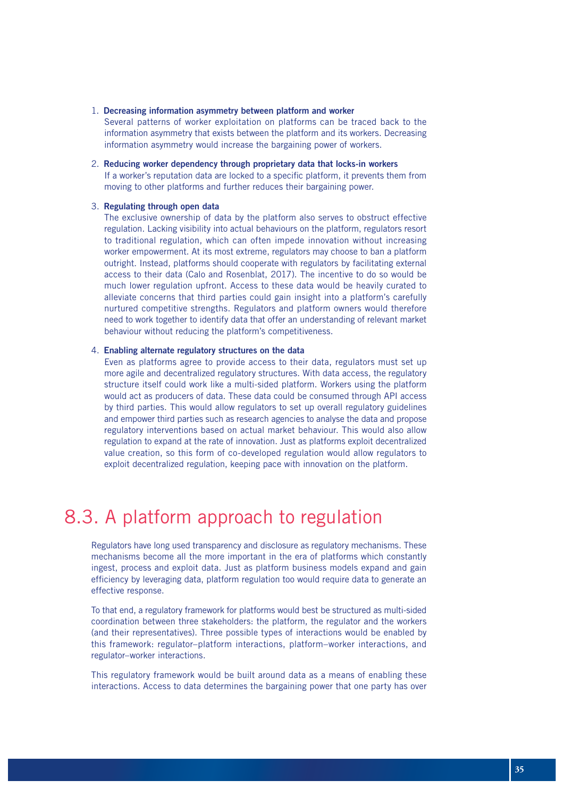#### 1. Decreasing information asymmetry between platform and worker

Several patterns of worker exploitation on platforms can be traced back to the information asymmetry that exists between the platform and its workers. Decreasing information asymmetry would increase the bargaining power of workers.

#### 2. Reducing worker dependency through proprietary data that locks-in workers

If a worker's reputation data are locked to a specific platform, it prevents them from moving to other platforms and further reduces their bargaining power.

#### 3. Regulating through open data

The exclusive ownership of data by the platform also serves to obstruct effective regulation. Lacking visibility into actual behaviours on the platform, regulators resort to traditional regulation, which can often impede innovation without increasing worker empowerment. At its most extreme, regulators may choose to ban a platform outright. Instead, platforms should cooperate with regulators by facilitating external access to their data (Calo and Rosenblat, 2017). The incentive to do so would be much lower regulation upfront. Access to these data would be heavily curated to alleviate concerns that third parties could gain insight into a platform's carefully nurtured competitive strengths. Regulators and platform owners would therefore need to work together to identify data that offer an understanding of relevant market behaviour without reducing the platform's competitiveness.

#### 4. Enabling alternate regulatory structures on the data

Even as platforms agree to provide access to their data, regulators must set up more agile and decentralized regulatory structures. With data access, the regulatory structure itself could work like a multi-sided platform. Workers using the platform would act as producers of data. These data could be consumed through API access by third parties. This would allow regulators to set up overall regulatory guidelines and empower third parties such as research agencies to analyse the data and propose regulatory interventions based on actual market behaviour. This would also allow regulation to expand at the rate of innovation. Just as platforms exploit decentralized value creation, so this form of co-developed regulation would allow regulators to exploit decentralized regulation, keeping pace with innovation on the platform.

## 8.3. A platform approach to regulation

Regulators have long used transparency and disclosure as regulatory mechanisms. These mechanisms become all the more important in the era of platforms which constantly ingest, process and exploit data. Just as platform business models expand and gain efficiency by leveraging data, platform regulation too would require data to generate an effective response.

To that end, a regulatory framework for platforms would best be structured as multi-sided coordination between three stakeholders: the platform, the regulator and the workers (and their representatives). Three possible types of interactions would be enabled by this framework: regulator–platform interactions, platform–worker interactions, and regulator–worker interactions.

This regulatory framework would be built around data as a means of enabling these interactions. Access to data determines the bargaining power that one party has over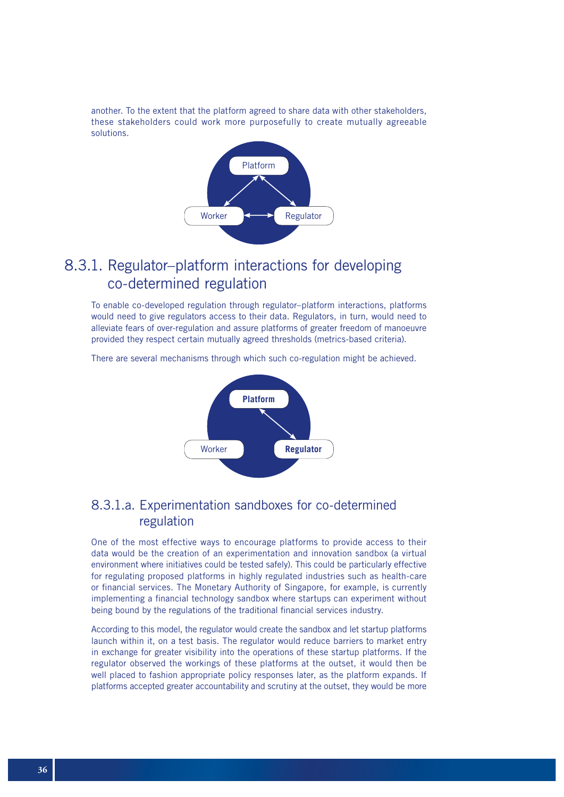another. To the extent that the platform agreed to share data with other stakeholders, these stakeholders could work more purposefully to create mutually agreeable solutions.



### 8.3.1. Regulator–platform interactions for developing co-determined regulation

To enable co-developed regulation through regulator–platform interactions, platforms would need to give regulators access to their data. Regulators, in turn, would need to alleviate fears of over-regulation and assure platforms of greater freedom of manoeuvre provided they respect certain mutually agreed thresholds (metrics-based criteria).

There are several mechanisms through which such co-regulation might be achieved.



### 8.3.1.a. Experimentation sandboxes for co-determined regulation

One of the most effective ways to encourage platforms to provide access to their data would be the creation of an experimentation and innovation sandbox (a virtual environment where initiatives could be tested safely). This could be particularly effective for regulating proposed platforms in highly regulated industries such as health-care or financial services. The Monetary Authority of Singapore, for example, is currently implementing a financial technology sandbox where startups can experiment without being bound by the regulations of the traditional financial services industry.

According to this model, the regulator would create the sandbox and let startup platforms launch within it, on a test basis. The regulator would reduce barriers to market entry in exchange for greater visibility into the operations of these startup platforms. If the regulator observed the workings of these platforms at the outset, it would then be well placed to fashion appropriate policy responses later, as the platform expands. If platforms accepted greater accountability and scrutiny at the outset, they would be more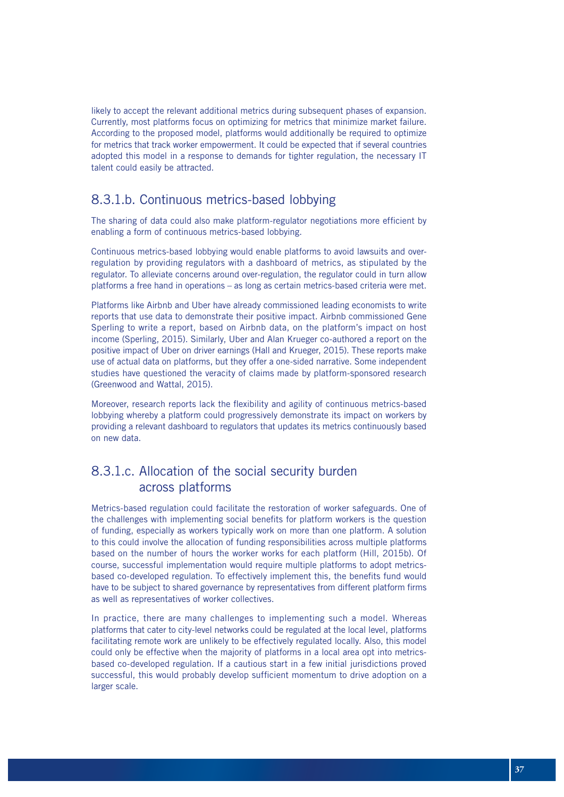likely to accept the relevant additional metrics during subsequent phases of expansion. Currently, most platforms focus on optimizing for metrics that minimize market failure. According to the proposed model, platforms would additionally be required to optimize for metrics that track worker empowerment. It could be expected that if several countries adopted this model in a response to demands for tighter regulation, the necessary IT talent could easily be attracted.

### 8.3.1.b. Continuous metrics-based lobbying

The sharing of data could also make platform-regulator negotiations more efficient by enabling a form of continuous metrics-based lobbying.

Continuous metrics-based lobbying would enable platforms to avoid lawsuits and overregulation by providing regulators with a dashboard of metrics, as stipulated by the regulator. To alleviate concerns around over-regulation, the regulator could in turn allow platforms a free hand in operations – as long as certain metrics-based criteria were met.

Platforms like Airbnb and Uber have already commissioned leading economists to write reports that use data to demonstrate their positive impact. Airbnb commissioned Gene Sperling to write a report, based on Airbnb data, on the platform's impact on host income (Sperling, 2015). Similarly, Uber and Alan Krueger co-authored a report on the positive impact of Uber on driver earnings (Hall and Krueger, 2015). These reports make use of actual data on platforms, but they offer a one-sided narrative. Some independent studies have questioned the veracity of claims made by platform-sponsored research (Greenwood and Wattal, 2015).

Moreover, research reports lack the flexibility and agility of continuous metrics-based lobbying whereby a platform could progressively demonstrate its impact on workers by providing a relevant dashboard to regulators that updates its metrics continuously based on new data.

### 8.3.1.c. Allocation of the social security burden across platforms

Metrics-based regulation could facilitate the restoration of worker safeguards. One of the challenges with implementing social benefits for platform workers is the question of funding, especially as workers typically work on more than one platform. A solution to this could involve the allocation of funding responsibilities across multiple platforms based on the number of hours the worker works for each platform (Hill, 2015b). Of course, successful implementation would require multiple platforms to adopt metricsbased co-developed regulation. To effectively implement this, the benefits fund would have to be subject to shared governance by representatives from different platform firms as well as representatives of worker collectives.

In practice, there are many challenges to implementing such a model. Whereas platforms that cater to city-level networks could be regulated at the local level, platforms facilitating remote work are unlikely to be effectively regulated locally. Also, this model could only be effective when the majority of platforms in a local area opt into metricsbased co-developed regulation. If a cautious start in a few initial jurisdictions proved successful, this would probably develop sufficient momentum to drive adoption on a larger scale.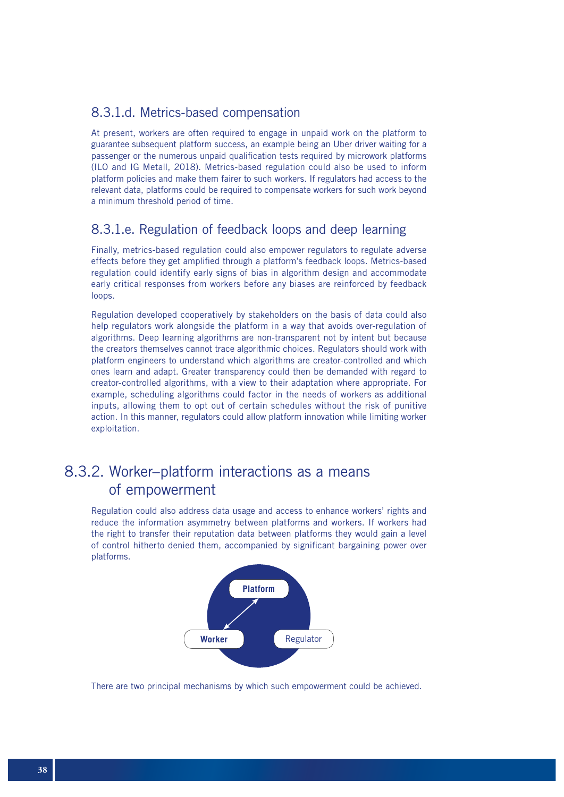#### 8.3.1.d. Metrics-based compensation

At present, workers are often required to engage in unpaid work on the platform to guarantee subsequent platform success, an example being an Uber driver waiting for a passenger or the numerous unpaid qualification tests required by microwork platforms (ILO and IG Metall, 2018). Metrics-based regulation could also be used to inform platform policies and make them fairer to such workers. If regulators had access to the relevant data, platforms could be required to compensate workers for such work beyond a minimum threshold period of time.

### 8.3.1.e. Regulation of feedback loops and deep learning

Finally, metrics-based regulation could also empower regulators to regulate adverse effects before they get amplified through a platform's feedback loops. Metrics-based regulation could identify early signs of bias in algorithm design and accommodate early critical responses from workers before any biases are reinforced by feedback loops.

Regulation developed cooperatively by stakeholders on the basis of data could also help regulators work alongside the platform in a way that avoids over-regulation of algorithms. Deep learning algorithms are non-transparent not by intent but because the creators themselves cannot trace algorithmic choices. Regulators should work with platform engineers to understand which algorithms are creator-controlled and which ones learn and adapt. Greater transparency could then be demanded with regard to creator-controlled algorithms, with a view to their adaptation where appropriate. For example, scheduling algorithms could factor in the needs of workers as additional inputs, allowing them to opt out of certain schedules without the risk of punitive action. In this manner, regulators could allow platform innovation while limiting worker exploitation.

### 8.3.2. Worker–platform interactions as a means of empowerment

Regulation could also address data usage and access to enhance workers' rights and reduce the information asymmetry between platforms and workers. If workers had the right to transfer their reputation data between platforms they would gain a level of control hitherto denied them, accompanied by significant bargaining power over platforms.



There are two principal mechanisms by which such empowerment could be achieved.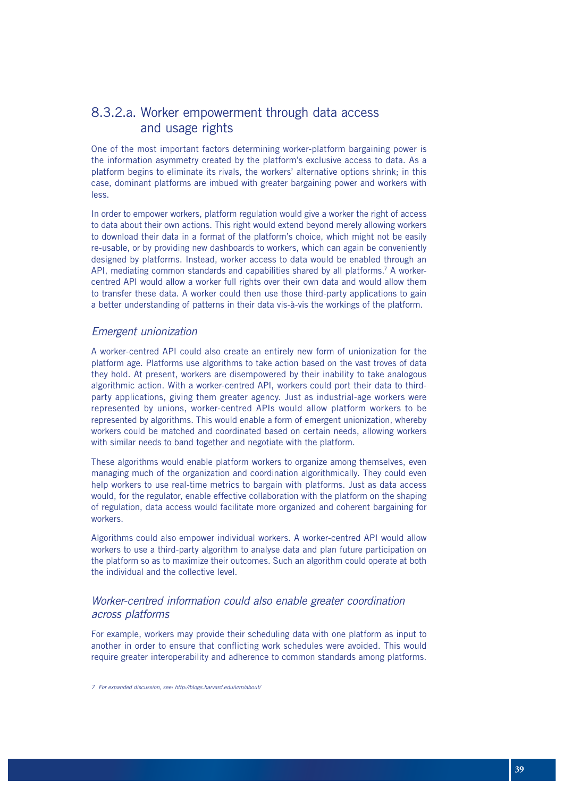### 8.3.2.a. Worker empowerment through data access and usage rights

One of the most important factors determining worker-platform bargaining power is the information asymmetry created by the platform's exclusive access to data. As a platform begins to eliminate its rivals, the workers' alternative options shrink; in this case, dominant platforms are imbued with greater bargaining power and workers with less.

In order to empower workers, platform regulation would give a worker the right of access to data about their own actions. This right would extend beyond merely allowing workers to download their data in a format of the platform's choice, which might not be easily re-usable, or by providing new dashboards to workers, which can again be conveniently designed by platforms. Instead, worker access to data would be enabled through an API, mediating common standards and capabilities shared by all platforms.<sup>7</sup> A workercentred API would allow a worker full rights over their own data and would allow them to transfer these data. A worker could then use those third-party applications to gain a better understanding of patterns in their data vis-à-vis the workings of the platform.

#### *Emergent unionization*

A worker-centred API could also create an entirely new form of unionization for the platform age. Platforms use algorithms to take action based on the vast troves of data they hold. At present, workers are disempowered by their inability to take analogous algorithmic action. With a worker-centred API, workers could port their data to thirdparty applications, giving them greater agency. Just as industrial-age workers were represented by unions, worker-centred APIs would allow platform workers to be represented by algorithms. This would enable a form of emergent unionization, whereby workers could be matched and coordinated based on certain needs, allowing workers with similar needs to band together and negotiate with the platform.

These algorithms would enable platform workers to organize among themselves, even managing much of the organization and coordination algorithmically. They could even help workers to use real-time metrics to bargain with platforms. Just as data access would, for the regulator, enable effective collaboration with the platform on the shaping of regulation, data access would facilitate more organized and coherent bargaining for workers.

Algorithms could also empower individual workers. A worker-centred API would allow workers to use a third-party algorithm to analyse data and plan future participation on the platform so as to maximize their outcomes. Such an algorithm could operate at both the individual and the collective level.

#### *Worker-centred information could also enable greater coordination across platforms*

For example, workers may provide their scheduling data with one platform as input to another in order to ensure that conflicting work schedules were avoided. This would require greater interoperability and adherence to common standards among platforms.

*<sup>7</sup> For expanded discussion, see: http://blogs.harvard.edu/vrm/about/*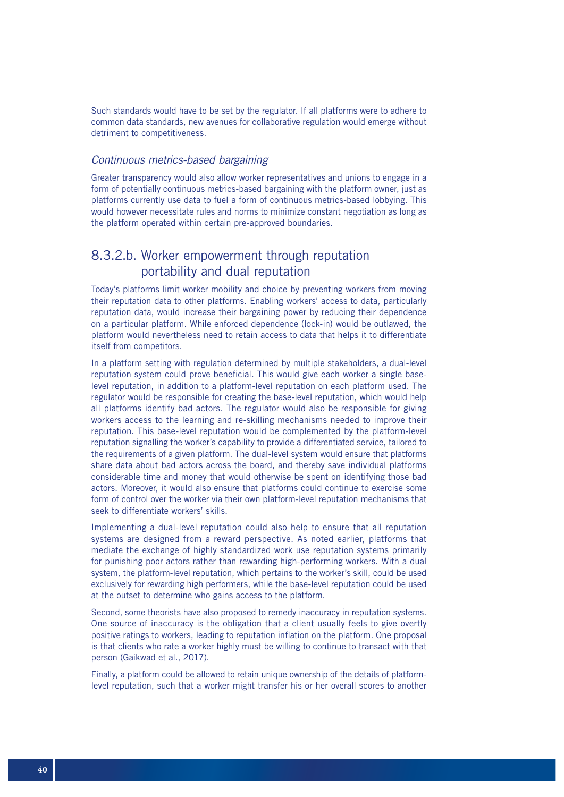Such standards would have to be set by the regulator. If all platforms were to adhere to common data standards, new avenues for collaborative regulation would emerge without detriment to competitiveness.

#### *Continuous metrics-based bargaining*

Greater transparency would also allow worker representatives and unions to engage in a form of potentially continuous metrics-based bargaining with the platform owner, just as platforms currently use data to fuel a form of continuous metrics-based lobbying. This would however necessitate rules and norms to minimize constant negotiation as long as the platform operated within certain pre-approved boundaries.

### 8.3.2.b. Worker empowerment through reputation portability and dual reputation

Today's platforms limit worker mobility and choice by preventing workers from moving their reputation data to other platforms. Enabling workers' access to data, particularly reputation data, would increase their bargaining power by reducing their dependence on a particular platform. While enforced dependence (lock-in) would be outlawed, the platform would nevertheless need to retain access to data that helps it to differentiate itself from competitors.

In a platform setting with regulation determined by multiple stakeholders, a dual-level reputation system could prove beneficial. This would give each worker a single baselevel reputation, in addition to a platform-level reputation on each platform used. The regulator would be responsible for creating the base-level reputation, which would help all platforms identify bad actors. The regulator would also be responsible for giving workers access to the learning and re-skilling mechanisms needed to improve their reputation. This base-level reputation would be complemented by the platform-level reputation signalling the worker's capability to provide a differentiated service, tailored to the requirements of a given platform. The dual-level system would ensure that platforms share data about bad actors across the board, and thereby save individual platforms considerable time and money that would otherwise be spent on identifying those bad actors. Moreover, it would also ensure that platforms could continue to exercise some form of control over the worker via their own platform-level reputation mechanisms that seek to differentiate workers' skills.

Implementing a dual-level reputation could also help to ensure that all reputation systems are designed from a reward perspective. As noted earlier, platforms that mediate the exchange of highly standardized work use reputation systems primarily for punishing poor actors rather than rewarding high-performing workers. With a dual system, the platform-level reputation, which pertains to the worker's skill, could be used exclusively for rewarding high performers, while the base-level reputation could be used at the outset to determine who gains access to the platform.

Second, some theorists have also proposed to remedy inaccuracy in reputation systems. One source of inaccuracy is the obligation that a client usually feels to give overtly positive ratings to workers, leading to reputation inflation on the platform. One proposal is that clients who rate a worker highly must be willing to continue to transact with that person (Gaikwad et al., 2017).

Finally, a platform could be allowed to retain unique ownership of the details of platformlevel reputation, such that a worker might transfer his or her overall scores to another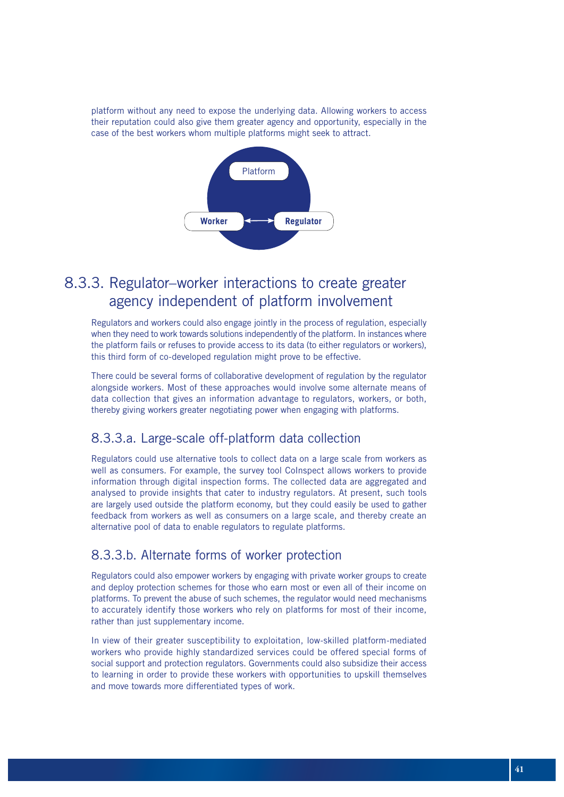platform without any need to expose the underlying data. Allowing workers to access their reputation could also give them greater agency and opportunity, especially in the case of the best workers whom multiple platforms might seek to attract.



### 8.3.3. Regulator–worker interactions to create greater agency independent of platform involvement

Regulators and workers could also engage jointly in the process of regulation, especially when they need to work towards solutions independently of the platform. In instances where the platform fails or refuses to provide access to its data (to either regulators or workers), this third form of co-developed regulation might prove to be effective.

There could be several forms of collaborative development of regulation by the regulator alongside workers. Most of these approaches would involve some alternate means of data collection that gives an information advantage to regulators, workers, or both, thereby giving workers greater negotiating power when engaging with platforms.

### 8.3.3.a. Large-scale off-platform data collection

Regulators could use alternative tools to collect data on a large scale from workers as well as consumers. For example, the survey tool Colnspect allows workers to provide information through digital inspection forms. The collected data are aggregated and analysed to provide insights that cater to industry regulators. At present, such tools are largely used outside the platform economy, but they could easily be used to gather feedback from workers as well as consumers on a large scale, and thereby create an alternative pool of data to enable regulators to regulate platforms.

#### 8.3.3.b. Alternate forms of worker protection

Regulators could also empower workers by engaging with private worker groups to create and deploy protection schemes for those who earn most or even all of their income on platforms. To prevent the abuse of such schemes, the regulator would need mechanisms to accurately identify those workers who rely on platforms for most of their income, rather than just supplementary income.

In view of their greater susceptibility to exploitation, low-skilled platform-mediated workers who provide highly standardized services could be offered special forms of social support and protection regulators. Governments could also subsidize their access to learning in order to provide these workers with opportunities to upskill themselves and move towards more differentiated types of work.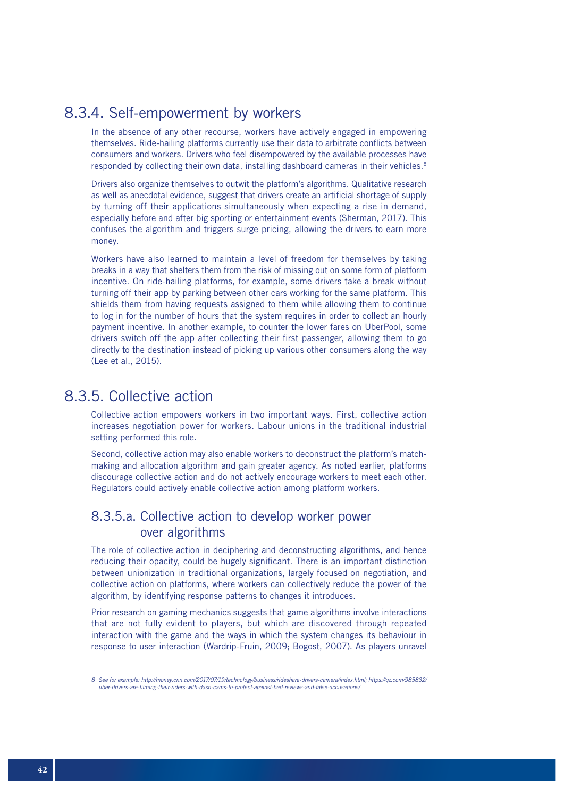### 8.3.4. Self-empowerment by workers

In the absence of any other recourse, workers have actively engaged in empowering themselves. Ride-hailing platforms currently use their data to arbitrate conflicts between consumers and workers. Drivers who feel disempowered by the available processes have responded by collecting their own data, installing dashboard cameras in their vehicles.<sup>8</sup>

Drivers also organize themselves to outwit the platform's algorithms. Qualitative research as well as anecdotal evidence, suggest that drivers create an artificial shortage of supply by turning off their applications simultaneously when expecting a rise in demand, especially before and after big sporting or entertainment events (Sherman, 2017). This confuses the algorithm and triggers surge pricing, allowing the drivers to earn more money.

Workers have also learned to maintain a level of freedom for themselves by taking breaks in a way that shelters them from the risk of missing out on some form of platform incentive. On ride-hailing platforms, for example, some drivers take a break without turning off their app by parking between other cars working for the same platform. This shields them from having requests assigned to them while allowing them to continue to log in for the number of hours that the system requires in order to collect an hourly payment incentive. In another example, to counter the lower fares on UberPool, some drivers switch off the app after collecting their first passenger, allowing them to go directly to the destination instead of picking up various other consumers along the way (Lee et al., 2015).

### 8.3.5. Collective action

Collective action empowers workers in two important ways. First, collective action increases negotiation power for workers. Labour unions in the traditional industrial setting performed this role.

Second, collective action may also enable workers to deconstruct the platform's matchmaking and allocation algorithm and gain greater agency. As noted earlier, platforms discourage collective action and do not actively encourage workers to meet each other. Regulators could actively enable collective action among platform workers.

### 8.3.5.a. Collective action to develop worker power over algorithms

The role of collective action in deciphering and deconstructing algorithms, and hence reducing their opacity, could be hugely significant. There is an important distinction between unionization in traditional organizations, largely focused on negotiation, and collective action on platforms, where workers can collectively reduce the power of the algorithm, by identifying response patterns to changes it introduces.

Prior research on gaming mechanics suggests that game algorithms involve interactions that are not fully evident to players, but which are discovered through repeated interaction with the game and the ways in which the system changes its behaviour in response to user interaction (Wardrip-Fruin, 2009; Bogost, 2007). As players unravel

*<sup>8</sup> See for example: http://money.cnn.com/2017/07/19/technology/business/rideshare-drivers-camera/index.html; https://qz.com/985832/ uber-drivers-are-filming-their-riders-with-dash-cams-to-protect-against-bad-reviews-and-false-accusations/*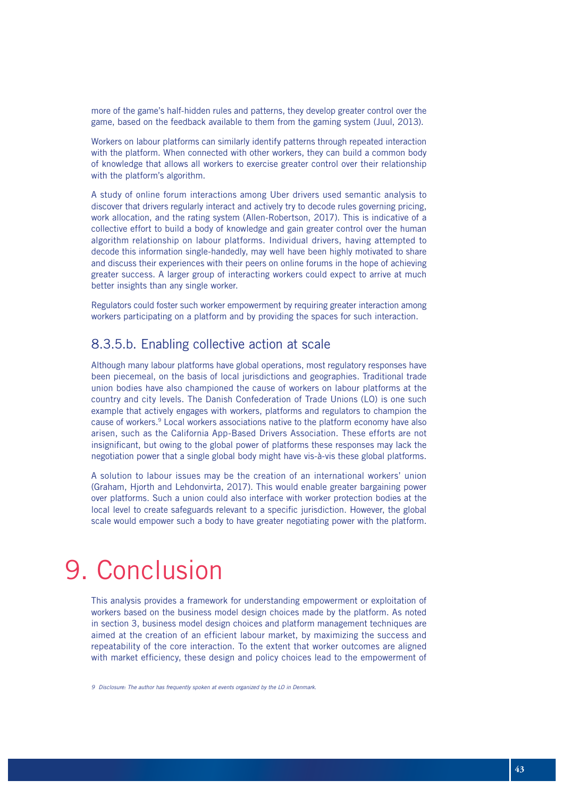more of the game's half-hidden rules and patterns, they develop greater control over the game, based on the feedback available to them from the gaming system (Juul, 2013).

Workers on labour platforms can similarly identify patterns through repeated interaction with the platform. When connected with other workers, they can build a common body of knowledge that allows all workers to exercise greater control over their relationship with the platform's algorithm.

A study of online forum interactions among Uber drivers used semantic analysis to discover that drivers regularly interact and actively try to decode rules governing pricing, work allocation, and the rating system (Allen-Robertson, 2017). This is indicative of a collective effort to build a body of knowledge and gain greater control over the human algorithm relationship on labour platforms. Individual drivers, having attempted to decode this information single-handedly, may well have been highly motivated to share and discuss their experiences with their peers on online forums in the hope of achieving greater success. A larger group of interacting workers could expect to arrive at much better insights than any single worker.

Regulators could foster such worker empowerment by requiring greater interaction among workers participating on a platform and by providing the spaces for such interaction.

#### 8.3.5.b. Enabling collective action at scale

Although many labour platforms have global operations, most regulatory responses have been piecemeal, on the basis of local jurisdictions and geographies. Traditional trade union bodies have also championed the cause of workers on labour platforms at the country and city levels. The Danish Confederation of Trade Unions (LO) is one such example that actively engages with workers, platforms and regulators to champion the cause of workers.9 Local workers associations native to the platform economy have also arisen, such as the California App-Based Drivers Association. These efforts are not insignificant, but owing to the global power of platforms these responses may lack the negotiation power that a single global body might have vis-à-vis these global platforms.

A solution to labour issues may be the creation of an international workers' union (Graham, Hjorth and Lehdonvirta, 2017). This would enable greater bargaining power over platforms. Such a union could also interface with worker protection bodies at the local level to create safeguards relevant to a specific jurisdiction. However, the global scale would empower such a body to have greater negotiating power with the platform.

# 9. Conclusion

This analysis provides a framework for understanding empowerment or exploitation of workers based on the business model design choices made by the platform. As noted in section 3, business model design choices and platform management techniques are aimed at the creation of an efficient labour market, by maximizing the success and repeatability of the core interaction. To the extent that worker outcomes are aligned with market efficiency, these design and policy choices lead to the empowerment of

*<sup>9</sup> Disclosure: The author has frequently spoken at events organized by the LO in Denmark.*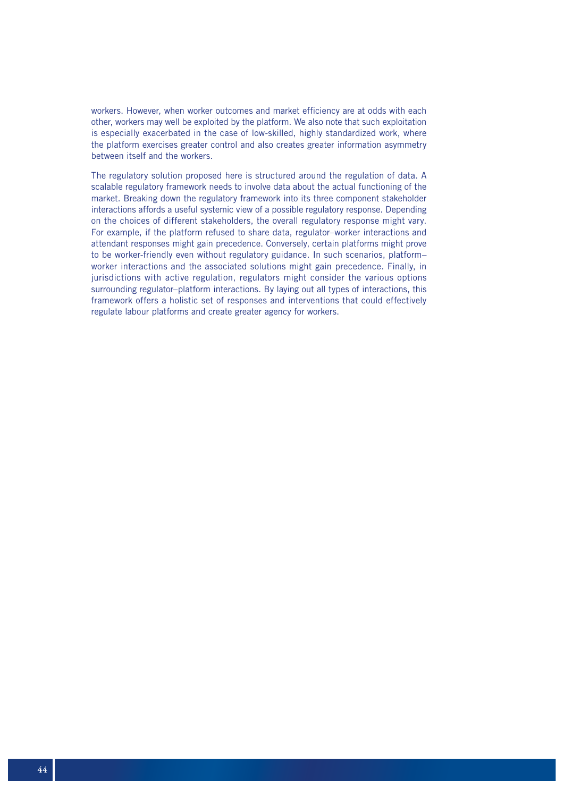workers. However, when worker outcomes and market efficiency are at odds with each other, workers may well be exploited by the platform. We also note that such exploitation is especially exacerbated in the case of low-skilled, highly standardized work, where the platform exercises greater control and also creates greater information asymmetry between itself and the workers.

The regulatory solution proposed here is structured around the regulation of data. A scalable regulatory framework needs to involve data about the actual functioning of the market. Breaking down the regulatory framework into its three component stakeholder interactions affords a useful systemic view of a possible regulatory response. Depending on the choices of different stakeholders, the overall regulatory response might vary. For example, if the platform refused to share data, regulator–worker interactions and attendant responses might gain precedence. Conversely, certain platforms might prove to be worker-friendly even without regulatory guidance. In such scenarios, platform– worker interactions and the associated solutions might gain precedence. Finally, in jurisdictions with active regulation, regulators might consider the various options surrounding regulator–platform interactions. By laying out all types of interactions, this framework offers a holistic set of responses and interventions that could effectively regulate labour platforms and create greater agency for workers.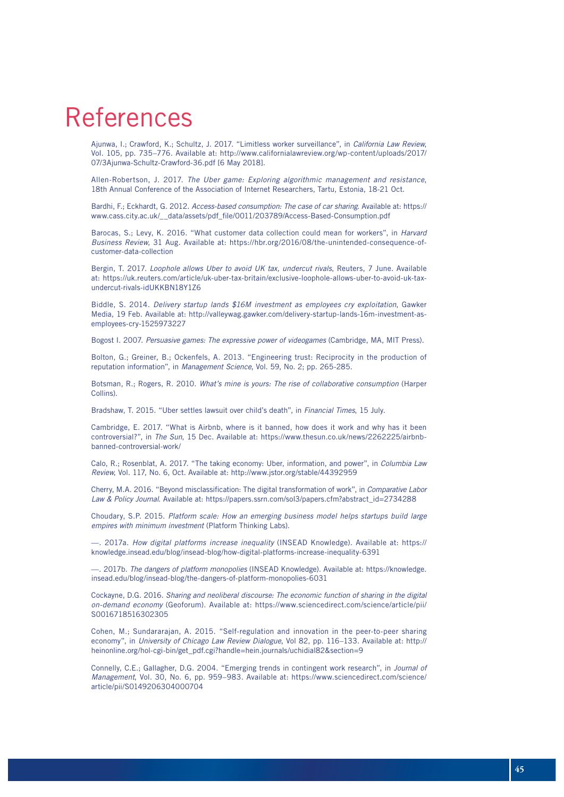# References

Ajunwa, I.; Crawford, K.; Schultz, J. 2017. "Limitless worker surveillance", in *California Law Review*, Vol. 105, pp. 735–776. Available at: http://www.californialawreview.org/wp-content/uploads/2017/ 07/3Ajunwa-Schultz-Crawford-36.pdf [6 May 2018].

Allen-Robertson, J. 2017. *The Uber game: Exploring algorithmic management and resistance*, 18th Annual Conference of the Association of Internet Researchers, Tartu, Estonia, 18-21 Oct.

Bardhi, F.; Eckhardt, G. 2012. *Access-based consumption: The case of car sharing*. Available at: https:// www.cass.city.ac.uk/\_\_data/assets/pdf\_file/0011/203789/Access-Based-Consumption.pdf

Barocas, S.; Levy, K. 2016. "What customer data collection could mean for workers", in *Harvard Business Review*, 31 Aug. Available at: https://hbr.org/2016/08/the-unintended-consequence-ofcustomer-data-collection

Bergin, T. 2017. *Loophole allows Uber to avoid UK tax, undercut rivals*, Reuters, 7 June. Available at: https://uk.reuters.com/article/uk-uber-tax-britain/exclusive-loophole-allows-uber-to-avoid-uk-taxundercut-rivals-idUKKBN18Y1Z6

Biddle, S. 2014. *Delivery startup lands \$16M investment as employees cry exploitation*, Gawker Media, 19 Feb. Available at: http://valleywag.gawker.com/delivery-startup-lands-16m-investment-asemployees-cry-1525973227

Bogost I. 2007. *Persuasive games: The expressive power of videogames* (Cambridge, MA, MIT Press).

Bolton, G.; Greiner, B.; Ockenfels, A. 2013. "Engineering trust: Reciprocity in the production of reputation information", in *Management Science*, Vol. 59, No. 2; pp. 265-285.

Botsman, R.; Rogers, R. 2010. *What's mine is yours: The rise of collaborative consumption* (Harper Collins).

Bradshaw, T. 2015. "Uber settles lawsuit over child's death", in *Financial Times*, 15 July.

Cambridge, E. 2017. "What is Airbnb, where is it banned, how does it work and why has it been controversial?", in *The Sun*, 15 Dec. Available at: https://www.thesun.co.uk/news/2262225/airbnbbanned-controversial-work/

Calo, R.; Rosenblat, A. 2017. "The taking economy: Uber, information, and power", in *Columbia Law Review*, Vol. 117, No. 6, Oct. Available at: http://www.jstor.org/stable/44392959

Cherry, M.A. 2016. "Beyond misclassification: The digital transformation of work", in *Comparative Labor Law & Policy Journal*. Available at: https://papers.ssrn.com/sol3/papers.cfm?abstract\_id=2734288

Choudary, S.P. 2015. *Platform scale: How an emerging business model helps startups build large empires with minimum investment* (Platform Thinking Labs).

—. 2017a. *How digital platforms increase inequality* (INSEAD Knowledge). Available at: https:// knowledge.insead.edu/blog/insead-blog/how-digital-platforms-increase-inequality-6391

—. 2017b. *The dangers of platform monopolies* (INSEAD Knowledge). Available at: https://knowledge. insead.edu/blog/insead-blog/the-dangers-of-platform-monopolies-6031

Cockayne, D.G. 2016. *Sharing and neoliberal discourse: The economic function of sharing in the digital on-demand economy* (Geoforum). Available at: https://www.sciencedirect.com/science/article/pii/ S0016718516302305

Cohen, M.; Sundararajan, A. 2015. "Self-regulation and innovation in the peer-to-peer sharing economy", in *University of Chicago Law Review Dialogue*, Vol 82, pp. 116–133. Available at: http:// heinonline.org/hol-cgi-bin/get\_pdf.cgi?handle=hein.journals/uchidial82&section=9

Connelly, C.E.; Gallagher, D.G. 2004. "Emerging trends in contingent work research", in *Journal of Management*, Vol. 30, No. 6, pp. 959–983. Available at: https://www.sciencedirect.com/science/ article/pii/S0149206304000704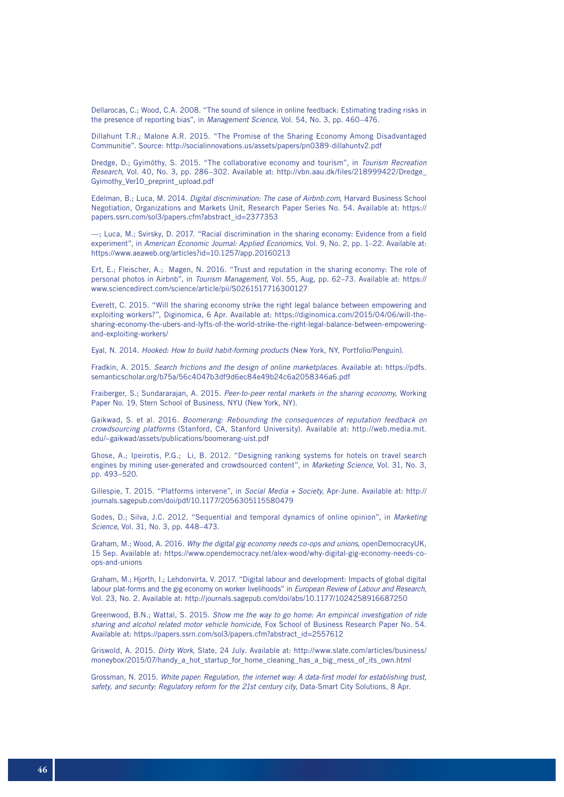Dellarocas, C.; Wood, C.A. 2008. "The sound of silence in online feedback: Estimating trading risks in the presence of reporting bias", in *Management Science*, Vol. 54, No. 3, pp. 460–476.

Dillahunt T.R.; Malone A.R. 2015. "The Promise of the Sharing Economy Among Disadvantaged Communitie". Source: http://socialinnovations.us/assets/papers/pn0389-dillahuntv2.pdf

Dredge, D.; Gyimóthy, S. 2015. "The collaborative economy and tourism", in *Tourism Recreation Research*, Vol. 40, No. 3, pp. 286–302. Available at: http://vbn.aau.dk/files/218999422/Dredge\_ Gyimothy\_Ver10\_preprint\_upload.pdf

Edelman, B.; Luca, M. 2014. *Digital discrimination: The case of Airbnb.com*, Harvard Business School Negotiation, Organizations and Markets Unit, Research Paper Series No. 54. Available at: https:// papers.ssrn.com/sol3/papers.cfm?abstract\_id=2377353

—; Luca, M.; Svirsky, D. 2017. "Racial discrimination in the sharing economy: Evidence from a field experiment", in *American Economic Journal: Applied Economics*, Vol. 9, No. 2, pp. 1–22. Available at: https://www.aeaweb.org/articles?id=10.1257/app.20160213

Ert, E.; Fleischer, A.; Magen, N. 2016. "Trust and reputation in the sharing economy: The role of personal photos in Airbnb", in *Tourism Management*, Vol. 55, Aug, pp. 62–73. Available at: https:// www.sciencedirect.com/science/article/pii/S0261517716300127

Everett, C. 2015. "Will the sharing economy strike the right legal balance between empowering and exploiting workers?", Diginomica, 6 Apr. Available at: https://diginomica.com/2015/04/06/will-thesharing-economy-the-ubers-and-lyfts-of-the-world-strike-the-right-legal-balance-between-empoweringand-exploiting-workers/

Eyal, N. 2014. *Hooked: How to build habit-forming products* (New York, NY, Portfolio/Penguin).

Fradkin, A. 2015. *Search frictions and the design of online marketplaces*. Available at: https://pdfs. semanticscholar.org/b75a/56c4047b3df9d6ec84e49b24c6a2058346a6.pdf

Fraiberger, S.; Sundararajan, A. 2015. *Peer-to-peer rental markets in the sharing economy*, Working Paper No. 19, Stern School of Business, NYU (New York, NY).

Gaikwad, S. et al. 2016. *Boomerang: Rebounding the consequences of reputation feedback on crowdsourcing platforms* (Stanford, CA, Stanford University). Available at: http://web.media.mit. edu/~gaikwad/assets/publications/boomerang-uist.pdf

Ghose, A.; Ipeirotis, P.G.; Li, B. 2012. "Designing ranking systems for hotels on travel search engines by mining user-generated and crowdsourced content", in *Marketing Science*, Vol. 31, No. 3, pp. 493–520.

Gillespie, T. 2015. "Platforms intervene", in *Social Media + Society*, Apr-June. Available at: http:// journals.sagepub.com/doi/pdf/10.1177/2056305115580479

Godes, D.; Silva, J.C. 2012. "Sequential and temporal dynamics of online opinion", in *Marketing Science*, Vol. 31, No. 3, pp. 448–473.

Graham, M.; Wood, A. 2016. *Why the digital gig economy needs co-ops and unions*, openDemocracyUK, 15 Sep. Available at: https://www.opendemocracy.net/alex-wood/why-digital-gig-economy-needs-coops-and-unions

Graham, M.; Hjorth, I.; Lehdonvirta, V. 2017. "Digital labour and development: Impacts of global digital labour plat-forms and the gig economy on worker livelihoods" in *European Review of Labour and Research*, Vol. 23, No. 2. Available at: http://journals.sagepub.com/doi/abs/10.1177/1024258916687250

Greenwood, B.N.; Wattal, S. 2015. *Show me the way to go home: An empirical investigation of ride sharing and alcohol related motor vehicle homicide*, Fox School of Business Research Paper No. 54. Available at: https://papers.ssrn.com/sol3/papers.cfm?abstract\_id=2557612

Griswold, A. 2015. *Dirty Work*, Slate, 24 July. Available at: http://www.slate.com/articles/business/ moneybox/2015/07/handy\_a\_hot\_startup\_for\_home\_cleaning\_has\_a\_big\_mess\_of\_its\_own.html

Grossman, N. 2015. *White paper: Regulation, the internet way: A data-first model for establishing trust, safety, and security: Regulatory reform for the 21st century city*, Data-Smart City Solutions, 8 Apr.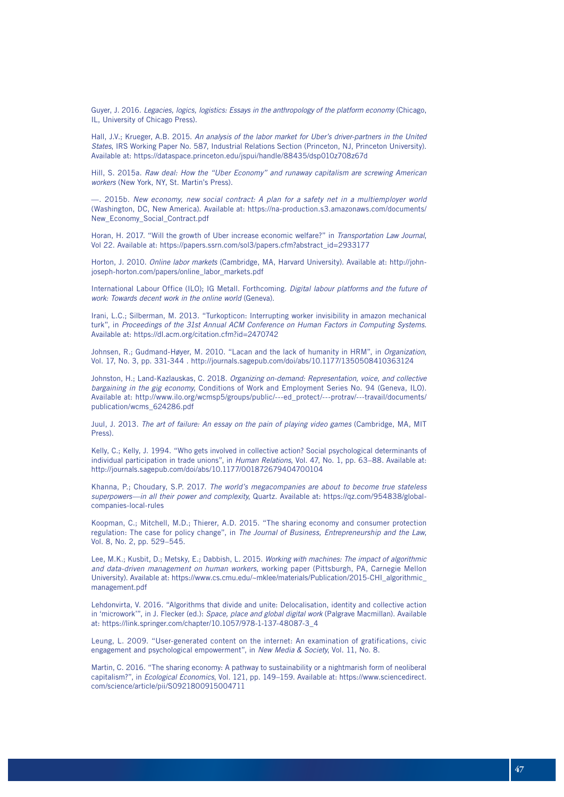Guyer, J. 2016. *Legacies, logics, logistics: Essays in the anthropology of the platform economy* (Chicago, IL, University of Chicago Press).

Hall, J.V.; Krueger, A.B. 2015. *An analysis of the labor market for Uber's driver-partners in the United States*, IRS Working Paper No. 587, Industrial Relations Section (Princeton, NJ, Princeton University). Available at: https://dataspace.princeton.edu/jspui/handle/88435/dsp010z708z67d

Hill, S. 2015a. *Raw deal: How the "Uber Economy" and runaway capitalism are screwing American workers* (New York, NY, St. Martin's Press).

—. 2015b. *New economy, new social contract: A plan for a safety net in a multiemployer world*  (Washington, DC, New America). Available at: https://na-production.s3.amazonaws.com/documents/ New\_Economy\_Social\_Contract.pdf

Horan, H. 2017. "Will the growth of Uber increase economic welfare?" in *Transportation Law Journal*, Vol 22. Available at: https://papers.ssrn.com/sol3/papers.cfm?abstract\_id=2933177

Horton, J. 2010. *Online labor markets* (Cambridge, MA, Harvard University). Available at: http://johnjoseph-horton.com/papers/online\_labor\_markets.pdf

International Labour Office (ILO); IG Metall. Forthcoming. *Digital labour platforms and the future of work: Towards decent work in the online world* (Geneva).

Irani, L.C.; Silberman, M. 2013. "Turkopticon: Interrupting worker invisibility in amazon mechanical turk", in *Proceedings of the 31st Annual ACM Conference on Human Factors in Computing Systems*. Available at: https://dl.acm.org/citation.cfm?id=2470742

Johnsen, R.; Gudmand-Høyer, M. 2010. "Lacan and the lack of humanity in HRM", in *Organization*, Vol. 17, No. 3, pp. 331-344 . http://journals.sagepub.com/doi/abs/10.1177/1350508410363124

Johnston, H.; Land-Kazlauskas, C. 2018. *Organizing on-demand: Representation, voice, and collective bargaining in the gig economy*, Conditions of Work and Employment Series No. 94 (Geneva, ILO). Available at: http://www.ilo.org/wcmsp5/groups/public/---ed\_protect/---protrav/---travail/documents/ publication/wcms\_624286.pdf

Juul, J. 2013. *The art of failure: An essay on the pain of playing video games* (Cambridge, MA, MIT Press).

Kelly, C.; Kelly, J. 1994. "Who gets involved in collective action? Social psychological determinants of individual participation in trade unions", in *Human Relations*, Vol. 47, No. 1, pp. 63–88. Available at: http://journals.sagepub.com/doi/abs/10.1177/001872679404700104

Khanna, P.; Choudary, S.P. 2017. *The world's megacompanies are about to become true stateless superpowers—in all their power and complexity*, Quartz. Available at: https://qz.com/954838/globalcompanies-local-rules

Koopman, C.; Mitchell, M.D.; Thierer, A.D. 2015. "The sharing economy and consumer protection regulation: The case for policy change", in *The Journal of Business, Entrepreneurship and the Law*, Vol. 8, No. 2, pp. 529–545.

Lee, M.K.; Kusbit, D.; Metsky, E.; Dabbish, L. 2015. *Working with machines: The impact of algorithmic and data-driven management on human workers*, working paper (Pittsburgh, PA, Carnegie Mellon University). Available at: https://www.cs.cmu.edu/~mklee/materials/Publication/2015-CHI\_algorithmic\_ management.pdf

Lehdonvirta, V. 2016. "Algorithms that divide and unite: Delocalisation, identity and collective action in 'microwork'", in J. Flecker (ed.): *Space, place and global digital work* (Palgrave Macmillan). Available at: https://link.springer.com/chapter/10.1057/978-1-137-48087-3\_4

Leung, L. 2009. "User-generated content on the internet: An examination of gratifications, civic engagement and psychological empowerment", in *New Media & Society*, Vol. 11, No. 8.

Martin, C. 2016. "The sharing economy: A pathway to sustainability or a nightmarish form of neoliberal capitalism?", in *Ecological Economics*, Vol. 121, pp. 149–159. Available at: https://www.sciencedirect. com/science/article/pii/S0921800915004711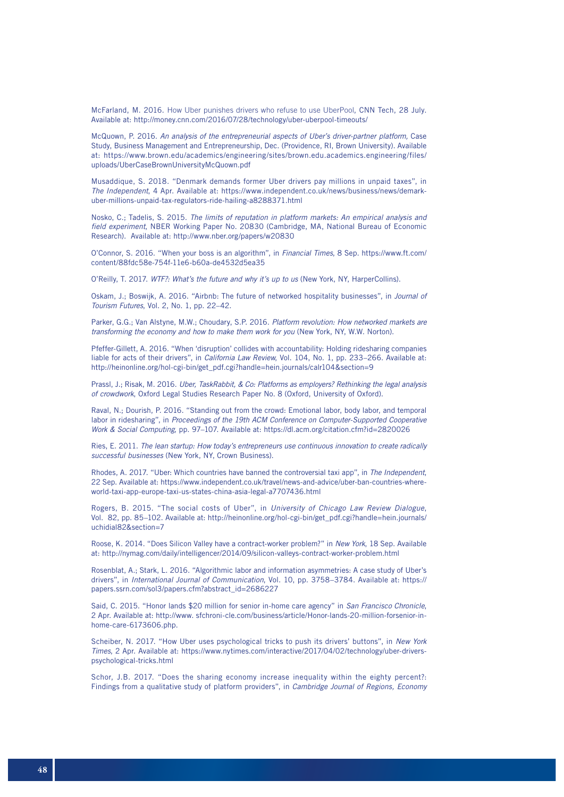McFarland, M. 2016. How Uber punishes drivers who refuse to use UberPool, CNN Tech, 28 July. Available at: http://money.cnn.com/2016/07/28/technology/uber-uberpool-timeouts/

McQuown, P. 2016. *An analysis of the entrepreneurial aspects of Uber's driver-partner platform,* Case Study, Business Management and Entrepreneurship, Dec. (Providence, RI, Brown University). Available at: https://www.brown.edu/academics/engineering/sites/brown.edu.academics.engineering/files/ uploads/UberCaseBrownUniversityMcQuown.pdf

Musaddique, S. 2018. "Denmark demands former Uber drivers pay millions in unpaid taxes", in *The Independent*, 4 Apr. Available at: https://www.independent.co.uk/news/business/news/demarkuber-millions-unpaid-tax-regulators-ride-hailing-a8288371.html

Nosko, C.; Tadelis, S. 2015. *The limits of reputation in platform markets: An empirical analysis and field experiment*, NBER Working Paper No. 20830 (Cambridge, MA, National Bureau of Economic Research). Available at: http://www.nber.org/papers/w20830

O'Connor, S. 2016. "When your boss is an algorithm", in *Financial Times*, 8 Sep. https://www.ft.com/ content/88fdc58e-754f-11e6-b60a-de4532d5ea35

O'Reilly, T. 2017. *WTF?: What's the future and why it's up to us* (New York, NY, HarperCollins).

Oskam, J.; Boswijk, A. 2016. "Airbnb: The future of networked hospitality businesses", in *Journal of Tourism Futures*, Vol. 2, No. 1, pp. 22–42.

Parker, G.G.; Van Alstyne, M.W.; Choudary, S.P. 2016. *Platform revolution: How networked markets are transforming the economy and how to make them work for you* (New York, NY, W.W. Norton).

Pfeffer-Gillett, A. 2016. "When 'disruption' collides with accountability: Holding ridesharing companies liable for acts of their drivers", in *California Law Review*, Vol. 104, No. 1, pp. 233–266. Available at: http://heinonline.org/hol-cgi-bin/get\_pdf.cgi?handle=hein.journals/calr104&section=9

Prassl, J.; Risak, M. 2016. *Uber, TaskRabbit, & Co: Platforms as employers? Rethinking the legal analysis of crowdwork*, Oxford Legal Studies Research Paper No. 8 (Oxford, University of Oxford).

Raval, N.; Dourish, P. 2016. "Standing out from the crowd: Emotional labor, body labor, and temporal labor in ridesharing", in *Proceedings of the 19th ACM Conference on Computer-Supported Cooperative Work & Social Computing*, pp. 97–107. Available at: https://dl.acm.org/citation.cfm?id=2820026

Ries, E. 2011. *The lean startup: How today's entrepreneurs use continuous innovation to create radically successful businesses* (New York, NY, Crown Business).

Rhodes, A. 2017. "Uber: Which countries have banned the controversial taxi app", in *The Independent*, 22 Sep. Available at: https://www.independent.co.uk/travel/news-and-advice/uber-ban-countries-whereworld-taxi-app-europe-taxi-us-states-china-asia-legal-a7707436.html

Rogers, B. 2015. "The social costs of Uber", in *University of Chicago Law Review Dialogue*, Vol. 82, pp. 85–102. Available at: http://heinonline.org/hol-cgi-bin/get\_pdf.cgi?handle=hein.journals/ uchidial82&section=7

Roose, K. 2014. "Does Silicon Valley have a contract-worker problem?" in *New York*, 18 Sep. Available at: http://nymag.com/daily/intelligencer/2014/09/silicon-valleys-contract-worker-problem.html

Rosenblat, A.; Stark, L. 2016. "Algorithmic labor and information asymmetries: A case study of Uber's drivers", in *International Journal of Communication*, Vol. 10, pp. 3758–3784. Available at: https:// papers.ssrn.com/sol3/papers.cfm?abstract\_id=2686227

Said, C. 2015. "Honor lands \$20 million for senior in-home care agency" in *San Francisco Chronicle*, 2 Apr. Available at: http://www. sfchroni-cle.com/business/article/Honor-lands-20-million-forsenior-inhome-care-6173606.php.

Scheiber, N. 2017. "How Uber uses psychological tricks to push its drivers' buttons", in *New York Times*, 2 Apr. Available at: https://www.nytimes.com/interactive/2017/04/02/technology/uber-driverspsychological-tricks.html

Schor, J.B. 2017. "Does the sharing economy increase inequality within the eighty percent?: Findings from a qualitative study of platform providers", in *Cambridge Journal of Regions, Economy*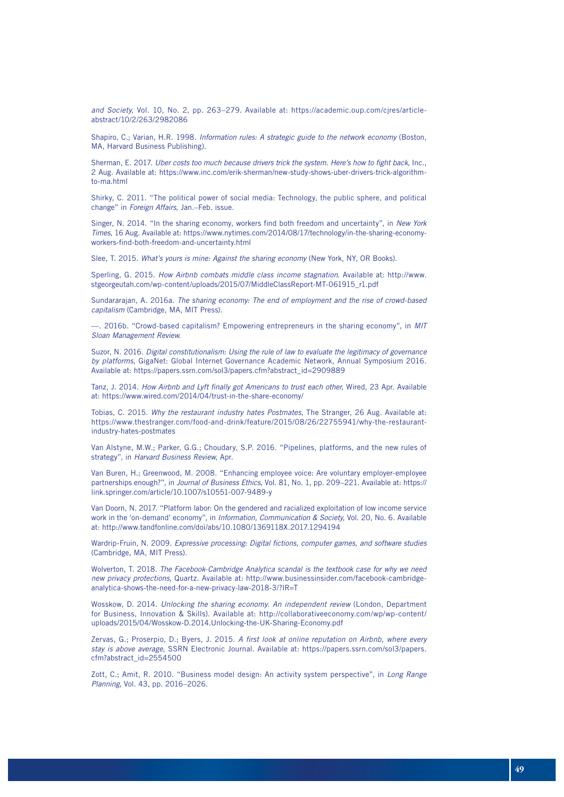*and Society*, Vol. 10, No. 2, pp. 263–279. Available at: https://academic.oup.com/cjres/articleabstract/10/2/263/2982086

Shapiro, C.; Varian, H.R. 1998. *Information rules: A strategic guide to the network economy* (Boston, MA, Harvard Business Publishing).

Sherman, E. 2017. *Uber costs too much because drivers trick the system. Here's how to fight back*, Inc., 2 Aug. Available at: https://www.inc.com/erik-sherman/new-study-shows-uber-drivers-trick-algorithmto-ma.html

Shirky, C. 2011. "The political power of social media: Technology, the public sphere, and political change" in *Foreign Affairs*, Jan.–Feb. issue.

Singer, N. 2014. "In the sharing economy, workers find both freedom and uncertainty", in *New York Times*, 16 Aug. Available at: https://www.nytimes.com/2014/08/17/technology/in-the-sharing-economyworkers-find-both-freedom-and-uncertainty.html

Slee, T. 2015. *What's yours is mine: Against the sharing economy* (New York, NY, OR Books).

Sperling, G. 2015. *How Airbnb combats middle class income stagnation*. Available at: http://www. stgeorgeutah.com/wp-content/uploads/2015/07/MiddleClassReport-MT-061915\_r1.pdf

Sundararajan, A. 2016a. *The sharing economy: The end of employment and the rise of crowd-based capitalism* (Cambridge, MA, MIT Press).

—. 2016b. "Crowd-based capitalism? Empowering entrepreneurs in the sharing economy", in *MIT Sloan Management Review*.

Suzor, N. 2016. *Digital constitutionalism: Using the rule of law to evaluate the legitimacy of governance by platforms*, GigaNet: Global Internet Governance Academic Network, Annual Symposium 2016. Available at: https://papers.ssrn.com/sol3/papers.cfm?abstract\_id=2909889

Tanz, J. 2014. *How Airbnb and Lyft finally got Americans to trust each other*, Wired, 23 Apr. Available at: https://www.wired.com/2014/04/trust-in-the-share-economy/

Tobias, C. 2015. *Why the restaurant industry hates Postmates*, The Stranger, 26 Aug. Available at: https://www.thestranger.com/food-and-drink/feature/2015/08/26/22755941/why-the-restaurantindustry-hates-postmates

Van Alstyne, M.W.; Parker, G.G.; Choudary, S.P. 2016. "Pipelines, platforms, and the new rules of strategy", in *Harvard Business Review*, Apr.

Van Buren, H.; Greenwood, M. 2008. "Enhancing employee voice: Are voluntary employer-employee partnerships enough?", in *Journal of Business Ethics*, Vol. 81, No. 1, pp. 209–221. Available at: https:// link.springer.com/article/10.1007/s10551-007-9489-y

Van Doorn, N. 2017. "Platform labor: On the gendered and racialized exploitation of low income service work in the 'on-demand' economy", in *Information, Communication & Society*, Vol. 20, No. 6. Available at: http://www.tandfonline.com/doi/abs/10.1080/1369118X.2017.1294194

Wardrip-Fruin, N. 2009. *Expressive processing: Digital fictions, computer games, and software studies*  (Cambridge, MA, MIT Press).

Wolverton, T. 2018. *The Facebook-Cambridge Analytica scandal is the textbook case for why we need new privacy protections*, Quartz. Available at: http://www.businessinsider.com/facebook-cambridgeanalytica-shows-the-need-for-a-new-privacy-law-2018-3/?IR=T

Wosskow, D. 2014. *Unlocking the sharing economy. An independent review* (London, Department for Business, Innovation & Skills). Available at: http://collaborativeeconomy.com/wp/wp-content/ uploads/2015/04/Wosskow-D.2014.Unlocking-the-UK-Sharing-Economy.pdf

Zervas, G.; Proserpio, D.; Byers, J. 2015. *A first look at online reputation on Airbnb, where every stay is above average*, SSRN Electronic Journal. Available at: https://papers.ssrn.com/sol3/papers. cfm?abstract\_id=2554500

Zott, C.; Amit, R. 2010. "Business model design: An activity system perspective", in *Long Range Planning*, Vol. 43, pp. 2016–2026.